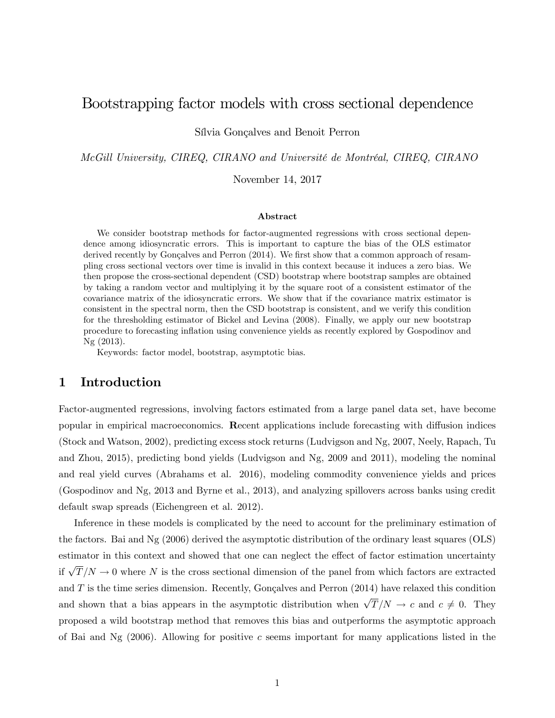# Bootstrapping factor models with cross sectional dependence

Sílvia Gonçalves and Benoit Perron

McGill University, CIREQ, CIRANO and Université de Montréal, CIREQ, CIRANO

November 14, 2017

#### Abstract

We consider bootstrap methods for factor-augmented regressions with cross sectional dependence among idiosyncratic errors. This is important to capture the bias of the OLS estimator derived recently by Gonçalves and Perron  $(2014)$ . We first show that a common approach of resampling cross sectional vectors over time is invalid in this context because it induces a zero bias. We then propose the cross-sectional dependent (CSD) bootstrap where bootstrap samples are obtained by taking a random vector and multiplying it by the square root of a consistent estimator of the covariance matrix of the idiosyncratic errors. We show that if the covariance matrix estimator is consistent in the spectral norm, then the CSD bootstrap is consistent, and we verify this condition for the thresholding estimator of Bickel and Levina (2008). Finally, we apply our new bootstrap procedure to forecasting ináation using convenience yields as recently explored by Gospodinov and Ng (2013).

Keywords: factor model, bootstrap, asymptotic bias.

### 1 Introduction

Factor-augmented regressions, involving factors estimated from a large panel data set, have become popular in empirical macroeconomics. Recent applications include forecasting with diffusion indices (Stock and Watson, 2002), predicting excess stock returns (Ludvigson and Ng, 2007, Neely, Rapach, Tu and Zhou, 2015), predicting bond yields (Ludvigson and Ng, 2009 and 2011), modeling the nominal and real yield curves (Abrahams et al. 2016), modeling commodity convenience yields and prices (Gospodinov and Ng, 2013 and Byrne et al., 2013), and analyzing spillovers across banks using credit default swap spreads (Eichengreen et al. 2012).

Inference in these models is complicated by the need to account for the preliminary estimation of the factors. Bai and Ng (2006) derived the asymptotic distribution of the ordinary least squares (OLS) estimator in this context and showed that one can neglect the effect of factor estimation uncertainty if  $\sqrt{T}/N \to 0$  where N is the cross sectional dimension of the panel from which factors are extracted and  $T$  is the time series dimension. Recently, Gonçalves and Perron (2014) have relaxed this condition and shown that a bias appears in the asymptotic distribution when  $\sqrt{T}/N \to c$  and  $c \neq 0$ . They proposed a wild bootstrap method that removes this bias and outperforms the asymptotic approach of Bai and Ng  $(2006)$ . Allowing for positive c seems important for many applications listed in the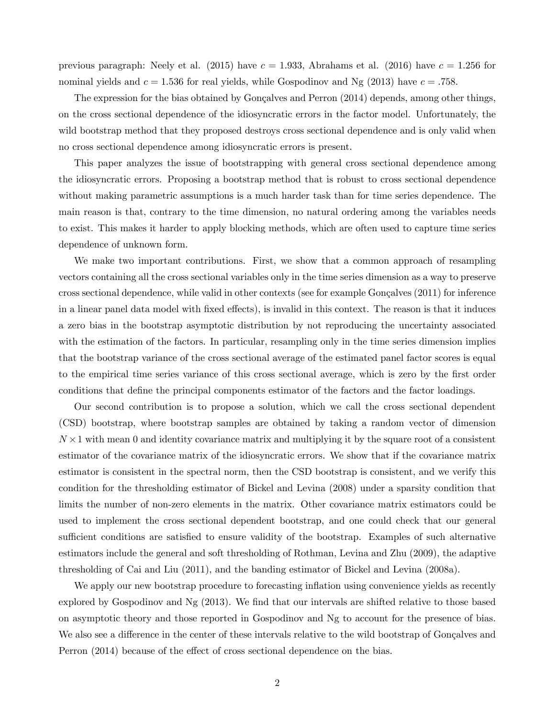previous paragraph: Neely et al. (2015) have  $c = 1.933$ , Abrahams et al. (2016) have  $c = 1.256$  for nominal yields and  $c = 1.536$  for real yields, while Gospodinov and Ng (2013) have  $c = .758$ .

The expression for the bias obtained by Gonçalves and Perron  $(2014)$  depends, among other things, on the cross sectional dependence of the idiosyncratic errors in the factor model. Unfortunately, the wild bootstrap method that they proposed destroys cross sectional dependence and is only valid when no cross sectional dependence among idiosyncratic errors is present.

This paper analyzes the issue of bootstrapping with general cross sectional dependence among the idiosyncratic errors. Proposing a bootstrap method that is robust to cross sectional dependence without making parametric assumptions is a much harder task than for time series dependence. The main reason is that, contrary to the time dimension, no natural ordering among the variables needs to exist. This makes it harder to apply blocking methods, which are often used to capture time series dependence of unknown form.

We make two important contributions. First, we show that a common approach of resampling vectors containing all the cross sectional variables only in the time series dimension as a way to preserve cross sectional dependence, while valid in other contexts (see for example Gonçalves (2011) for inference in a linear panel data model with fixed effects), is invalid in this context. The reason is that it induces a zero bias in the bootstrap asymptotic distribution by not reproducing the uncertainty associated with the estimation of the factors. In particular, resampling only in the time series dimension implies that the bootstrap variance of the cross sectional average of the estimated panel factor scores is equal to the empirical time series variance of this cross sectional average, which is zero by the Örst order conditions that define the principal components estimator of the factors and the factor loadings.

Our second contribution is to propose a solution, which we call the cross sectional dependent (CSD) bootstrap, where bootstrap samples are obtained by taking a random vector of dimension  $N \times 1$  with mean 0 and identity covariance matrix and multiplying it by the square root of a consistent estimator of the covariance matrix of the idiosyncratic errors. We show that if the covariance matrix estimator is consistent in the spectral norm, then the CSD bootstrap is consistent, and we verify this condition for the thresholding estimator of Bickel and Levina (2008) under a sparsity condition that limits the number of non-zero elements in the matrix. Other covariance matrix estimators could be used to implement the cross sectional dependent bootstrap, and one could check that our general sufficient conditions are satisfied to ensure validity of the bootstrap. Examples of such alternative estimators include the general and soft thresholding of Rothman, Levina and Zhu (2009), the adaptive thresholding of Cai and Liu (2011), and the banding estimator of Bickel and Levina (2008a).

We apply our new bootstrap procedure to forecasting inflation using convenience yields as recently explored by Gospodinov and Ng  $(2013)$ . We find that our intervals are shifted relative to those based on asymptotic theory and those reported in Gospodinov and Ng to account for the presence of bias. We also see a difference in the center of these intervals relative to the wild bootstrap of Gonçalves and Perron (2014) because of the effect of cross sectional dependence on the bias.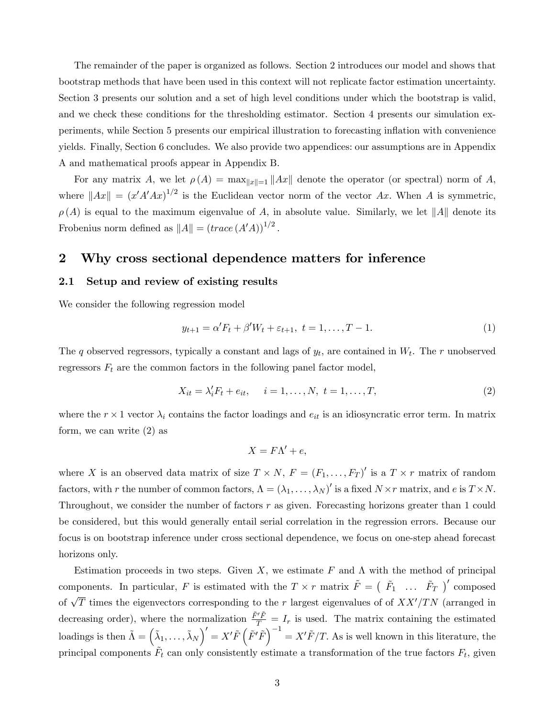The remainder of the paper is organized as follows. Section 2 introduces our model and shows that bootstrap methods that have been used in this context will not replicate factor estimation uncertainty. Section 3 presents our solution and a set of high level conditions under which the bootstrap is valid, and we check these conditions for the thresholding estimator. Section 4 presents our simulation experiments, while Section 5 presents our empirical illustration to forecasting ináation with convenience yields. Finally, Section 6 concludes. We also provide two appendices: our assumptions are in Appendix A and mathematical proofs appear in Appendix B.

For any matrix A, we let  $\rho(A) = \max_{\|x\|=1} \|Ax\|$  denote the operator (or spectral) norm of A, where  $||Ax|| = (x'A'Ax)^{1/2}$  is the Euclidean vector norm of the vector Ax. When A is symmetric,  $\rho(A)$  is equal to the maximum eigenvalue of A, in absolute value. Similarly, we let ||A|| denote its Frobenius norm defined as  $||A|| = (trace(A'A))^{1/2}$ .

### 2 Why cross sectional dependence matters for inference

#### 2.1 Setup and review of existing results

We consider the following regression model

$$
y_{t+1} = \alpha' F_t + \beta' W_t + \varepsilon_{t+1}, \ t = 1, \dots, T - 1.
$$
 (1)

The q observed regressors, typically a constant and lags of  $y_t$ , are contained in  $W_t$ . The r unobserved regressors  $F_t$  are the common factors in the following panel factor model,

$$
X_{it} = \lambda'_i F_t + e_{it}, \quad i = 1, ..., N, \ t = 1, ..., T,
$$
 (2)

where the  $r \times 1$  vector  $\lambda_i$  contains the factor loadings and  $e_{it}$  is an idiosyncratic error term. In matrix form, we can write (2) as

$$
X = F\Lambda' + e,
$$

where X is an observed data matrix of size  $T \times N$ ,  $F = (F_1, \ldots, F_T)'$  is a  $T \times r$  matrix of random factors, with r the number of common factors,  $\Lambda = (\lambda_1, \ldots, \lambda_N)'$  is a fixed  $N \times r$  matrix, and e is  $T \times N$ . Throughout, we consider the number of factors r as given. Forecasting horizons greater than 1 could be considered, but this would generally entail serial correlation in the regression errors. Because our focus is on bootstrap inference under cross sectional dependence, we focus on one-step ahead forecast horizons only.

Estimation proceeds in two steps. Given X, we estimate F and  $\Lambda$  with the method of principal components. In particular, F is estimated with the  $T \times r$  matrix  $\tilde{F} = \begin{pmatrix} \tilde{F}_1 & \dots & \tilde{F}_T \end{pmatrix}'$  composed of  $\sqrt{T}$  times the eigenvectors corresponding to the r largest eigenvalues of of  $XX'/TN$  (arranged in decreasing order), where the normalization  $\frac{\tilde{F}'\tilde{F}}{T} = I_r$  is used. The matrix containing the estimated loadings is then  $\tilde{\Lambda} = \left(\tilde{\lambda}_1,\ldots,\tilde{\lambda}_N\right)' = X'\tilde{F}\left(\tilde{F}'\tilde{F}\right)^{-1} = X'\tilde{F}/T$ . As is well known in this literature, the principal components  $\tilde{F}_t$  can only consistently estimate a transformation of the true factors  $F_t$ , given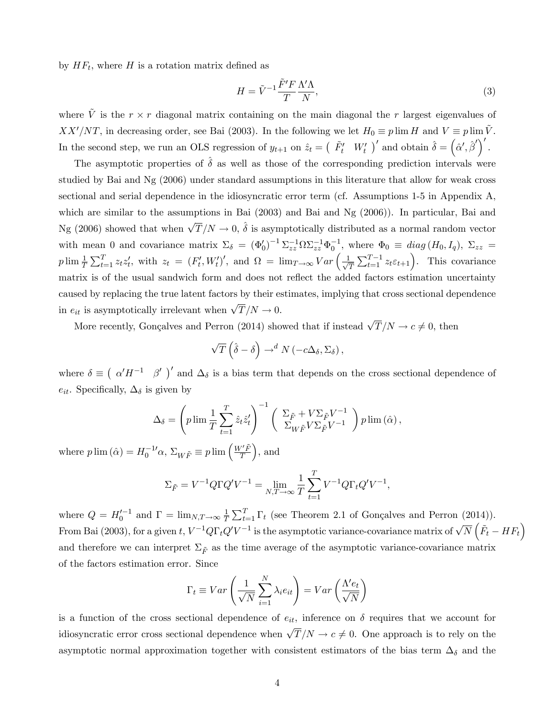by  $HF_t$ , where H is a rotation matrix defined as

$$
H = \tilde{V}^{-1} \frac{\tilde{F}' F}{T} \frac{\Lambda' \Lambda}{N},\tag{3}
$$

where  $\tilde{V}$  is the  $r \times r$  diagonal matrix containing on the main diagonal the r largest eigenvalues of  $XX'/NT$ , in decreasing order, see Bai (2003). In the following we let  $H_0 \equiv p \lim H$  and  $V \equiv p \lim \tilde{V}$ . In the second step, we run an OLS regression of  $y_{t+1}$  on  $\hat{z}_t = ( \begin{bmatrix} \tilde{F}'_t & W'_t \end{bmatrix}'$  and obtain  $\hat{\delta} = ( \hat{\alpha}', \hat{\beta}')'$ .

The asymptotic properties of  $\delta$  as well as those of the corresponding prediction intervals were studied by Bai and Ng (2006) under standard assumptions in this literature that allow for weak cross sectional and serial dependence in the idiosyncratic error term (cf. Assumptions 1-5 in Appendix A, which are similar to the assumptions in Bai (2003) and Bai and Ng (2006)). In particular, Bai and Ng (2006) showed that when  $\sqrt{T}/N \to 0$ ,  $\hat{\delta}$  is asymptotically distributed as a normal random vector with mean 0 and covariance matrix  $\Sigma_{\delta} = (\Phi'_0)^{-1} \Sigma_{zz}^{-1} \Omega \Sigma_{zz}^{-1} \Phi_0^{-1}$ , where  $\Phi_0 \equiv diag(H_0, I_q)$ ,  $\Sigma_{zz} =$ p  $\lim_{T \to \infty} \frac{1}{T} \sum_{t=1}^{T} z_t z'_t$ , with  $z_t = (F'_t, W'_t)'$ , and  $\Omega = \lim_{T \to \infty} Var\left(\frac{1}{\sqrt{T}}\right)$  $\frac{1}{T} \sum_{t=1}^{T-1} z_t \varepsilon_{t+1}$ . This covariance matrix is of the usual sandwich form and does not reflect the added factors estimation uncertainty caused by replacing the true latent factors by their estimates, implying that cross sectional dependence in  $e_{it}$  is asymptotically irrelevant when  $\sqrt{T}/N \to 0$ .

More recently, Gonçalves and Perron (2014) showed that if instead  $\sqrt{T}/N \rightarrow c \neq 0$ , then

$$
\sqrt{T}\left(\hat{\delta}-\delta\right)\to^d N\left(-c\Delta_{\delta},\Sigma_{\delta}\right),\,
$$

where  $\delta \equiv (\alpha'H^{-1} \beta')'$  and  $\Delta_{\delta}$  is a bias term that depends on the cross sectional dependence of  $e_{it}$ . Specifically,  $\Delta_{\delta}$  is given by

$$
\Delta_{\delta} = \left(p \lim_{T} \frac{1}{T} \sum_{t=1}^{T} \hat{z}_{t} \hat{z}_{t}'\right)^{-1} \left(\begin{array}{c} \Sigma_{\tilde{F}} + V \Sigma_{\tilde{F}} V^{-1} \\ \Sigma_{W \tilde{F}} V \Sigma_{\tilde{F}} V^{-1} \end{array}\right) p \lim_{(\hat{\alpha})},
$$

where  $p \lim_{n \to \infty} (\hat{\alpha}) = H_0^{-1} \alpha$ ,  $\Sigma_{W\tilde{F}} \equiv p \lim_{n \to \infty} \left( \frac{W'\tilde{F}}{T} \right)$  $\overline{T}$  $\big)$ , and

$$
\Sigma_{\tilde{F}} = V^{-1} Q \Gamma Q' V^{-1} = \lim_{N,T \to \infty} \frac{1}{T} \sum_{t=1}^{T} V^{-1} Q \Gamma_t Q' V^{-1},
$$

where  $Q = H_0^{\prime -1}$  and  $\Gamma = \lim_{N,T \to \infty} \frac{1}{T}$  $\frac{1}{T} \sum_{t=1}^{T} \Gamma_t$  (see Theorem 2.1 of Gonçalves and Perron (2014)). From Bai (2003), for a given  $t$ ,  $V^{-1}Q\Gamma_tQ'V^{-1}$  is the asymptotic variance-covariance matrix of  $\sqrt{N}\left(\tilde{F}_t-HF_t\right)$ and therefore we can interpret  $\Sigma_{\tilde{F}}$  as the time average of the asymptotic variance-covariance matrix of the factors estimation error. Since

$$
\Gamma_t \equiv Var\left(\frac{1}{\sqrt{N}}\sum_{i=1}^N \lambda_i e_{it}\right) = Var\left(\frac{\Lambda' e_t}{\sqrt{N}}\right)
$$

is a function of the cross sectional dependence of  $e_{it}$ , inference on  $\delta$  requires that we account for idiosyncratic error cross sectional dependence when  $\sqrt{T}/N \to c \neq 0$ . One approach is to rely on the asymptotic normal approximation together with consistent estimators of the bias term  $\Delta_{\delta}$  and the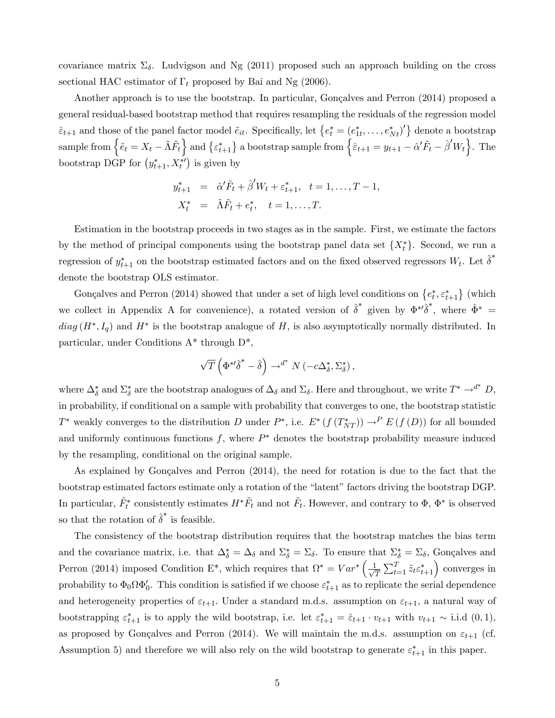covariance matrix  $\Sigma_{\delta}$ . Ludvigson and Ng (2011) proposed such an approach building on the cross sectional HAC estimator of  $\Gamma_t$  proposed by Bai and Ng (2006).

Another approach is to use the bootstrap. In particular, Gonçalves and Perron (2014) proposed a general residual-based bootstrap method that requires resampling the residuals of the regression model  $\hat{\epsilon}_{t+1}$  and those of the panel factor model  $\tilde{e}_{it}$ . Specifically, let  $\{e^*_t = (e^*_{1t}, \ldots, e^*_{Nt})'\}$  denote a bootstrap sample from  $\left\{ \tilde{e}_{t}=X_{t}-\tilde{\Lambda}\tilde{F}_{t}\right\}$  and  $\left\{ \varepsilon_{t+1}^{*}\right\}$  a bootstrap sample from  $\left\{ \hat{\varepsilon}_{t+1}=y_{t+1}-\hat{\alpha}'\tilde{F}_{t}-\hat{\beta}'W_{t}\right\}$ . The bootstrap DGP for  $(y_{t+1}^*, X_t^{*\prime})$  is given by

$$
y_{t+1}^{*} = \hat{\alpha}' \tilde{F}_t + \hat{\beta}' W_t + \varepsilon_{t+1}^{*}, \quad t = 1, ..., T - 1,
$$
  

$$
X_t^{*} = \tilde{\Lambda} \tilde{F}_t + e_t^{*}, \quad t = 1, ..., T.
$$

Estimation in the bootstrap proceeds in two stages as in the sample. First, we estimate the factors by the method of principal components using the bootstrap panel data set  $\{X_t^*\}$ . Second, we run a regression of  $y_{t+1}^*$  on the bootstrap estimated factors and on the fixed observed regressors  $W_t$ . Let  $\hat{\delta}^*$ denote the bootstrap OLS estimator.

Gonçalves and Perron (2014) showed that under a set of high level conditions on  $\{e_t^*, \varepsilon_{t+1}^*\}$  (which we collect in Appendix A for convenience), a rotated version of  $\hat{\delta}^*$  given by  $\Phi^{*\prime}\hat{\delta}^*$ , where  $\hat{\Phi}^*$  =  $diag(H^*, I_q)$  and  $H^*$  is the bootstrap analogue of H, is also asymptotically normally distributed. In particular, under Conditions A\* through D\*,

$$
\sqrt{T}\left(\Phi^{*}\hat{\delta}^*-\hat{\delta}\right)\rightarrow^{d^*} N\left(-c\Delta_{\delta}^*,\Sigma_{\delta}^*\right),\,
$$

where  $\Delta_{\delta}^*$  and  $\Sigma_{\delta}^*$  are the bootstrap analogues of  $\Delta_{\delta}$  and  $\Sigma_{\delta}$ . Here and throughout, we write  $T^* \to^{d^*} D$ , in probability, if conditional on a sample with probability that converges to one, the bootstrap statistic  $T^*$  weakly converges to the distribution D under  $P^*$ , i.e.  $E^* (f(T^*_{NT})) \to^P E(f(D))$  for all bounded and uniformly continuous functions  $f$ , where  $P^*$  denotes the bootstrap probability measure induced by the resampling, conditional on the original sample.

As explained by Gonçalves and Perron  $(2014)$ , the need for rotation is due to the fact that the bootstrap estimated factors estimate only a rotation of the "latent" factors driving the bootstrap DGP. In particular,  $\tilde{F}_t^*$  consistently estimates  $H^*\tilde{F}_t$  and not  $\tilde{F}_t$ . However, and contrary to  $\Phi$ ,  $\Phi^*$  is observed so that the rotation of  $\hat{\delta}^*$  is feasible.

The consistency of the bootstrap distribution requires that the bootstrap matches the bias term and the covariance matrix, i.e. that  $\Delta_{\delta}^* = \Delta_{\delta}$  and  $\Sigma_{\delta}^* = \Sigma_{\delta}$ . To ensure that  $\Sigma_{\delta}^* = \Sigma_{\delta}$ , Gonçalves and Perron (2014) imposed Condition E<sup>\*</sup>, which requires that  $\Omega^* = Var^* \left( \frac{1}{\sqrt{n}} \right)$  $\frac{1}{T} \sum_{t=1}^{T} \tilde{z}_t \varepsilon_{t+1}^*$  converges in probability to  $\Phi_0 \Omega \Phi'_0$ . This condition is satisfied if we choose  $\varepsilon_{t+1}^*$  as to replicate the serial dependence and heterogeneity properties of  $\varepsilon_{t+1}$ . Under a standard m.d.s. assumption on  $\varepsilon_{t+1}$ , a natural way of bootstrapping  $\varepsilon_{t+1}^*$  is to apply the wild bootstrap, i.e. let  $\varepsilon_{t+1}^* = \hat{\varepsilon}_{t+1} \cdot v_{t+1}$  with  $v_{t+1} \sim$  i.i.d  $(0,1)$ , as proposed by Gonçalves and Perron (2014). We will maintain the m.d.s. assumption on  $\varepsilon_{t+1}$  (cf. Assumption 5) and therefore we will also rely on the wild bootstrap to generate  $\varepsilon_{t+1}^*$  in this paper.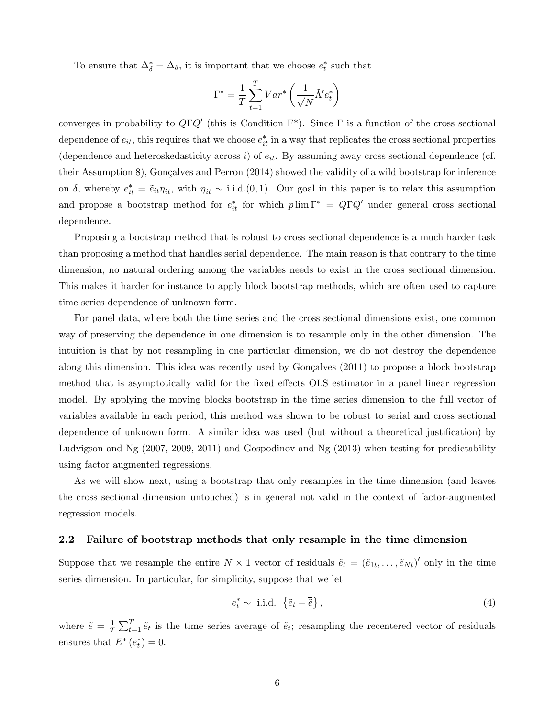To ensure that  $\Delta_{\delta}^* = \Delta_{\delta}$ , it is important that we choose  $e_t^*$  such that

$$
\Gamma^* = \frac{1}{T}\sum_{t=1}^T Var^* \left(\frac{1}{\sqrt{N}} \tilde{\Lambda}' e_t^*\right)
$$

converges in probability to  $Q\Gamma Q'$  (this is Condition  $F^*$ ). Since  $\Gamma$  is a function of the cross sectional dependence of  $e_{it}$ , this requires that we choose  $e_{it}^*$  in a way that replicates the cross sectional properties (dependence and heteroskedasticity across i) of  $e_{it}$ . By assuming away cross sectional dependence (cf. their Assumption 8), Gonçalves and Perron  $(2014)$  showed the validity of a wild bootstrap for inference on  $\delta$ , whereby  $e_{it}^* = \tilde{e}_{it} \eta_{it}$ , with  $\eta_{it} \sim$  i.i.d.(0,1). Our goal in this paper is to relax this assumption and propose a bootstrap method for  $e_{it}^*$  for which  $p \lim \Gamma^* = Q \Gamma Q'$  under general cross sectional dependence.

Proposing a bootstrap method that is robust to cross sectional dependence is a much harder task than proposing a method that handles serial dependence. The main reason is that contrary to the time dimension, no natural ordering among the variables needs to exist in the cross sectional dimension. This makes it harder for instance to apply block bootstrap methods, which are often used to capture time series dependence of unknown form.

For panel data, where both the time series and the cross sectional dimensions exist, one common way of preserving the dependence in one dimension is to resample only in the other dimension. The intuition is that by not resampling in one particular dimension, we do not destroy the dependence along this dimension. This idea was recently used by Gonçalves (2011) to propose a block bootstrap method that is asymptotically valid for the fixed effects OLS estimator in a panel linear regression model. By applying the moving blocks bootstrap in the time series dimension to the full vector of variables available in each period, this method was shown to be robust to serial and cross sectional dependence of unknown form. A similar idea was used (but without a theoretical justification) by Ludvigson and Ng (2007, 2009, 2011) and Gospodinov and Ng (2013) when testing for predictability using factor augmented regressions.

As we will show next, using a bootstrap that only resamples in the time dimension (and leaves the cross sectional dimension untouched) is in general not valid in the context of factor-augmented regression models.

#### 2.2 Failure of bootstrap methods that only resample in the time dimension

Suppose that we resample the entire  $N \times 1$  vector of residuals  $\tilde{e}_t = (\tilde{e}_{1t}, \ldots, \tilde{e}_{Nt})'$  only in the time series dimension. In particular, for simplicity, suppose that we let

$$
e_t^* \sim \text{ i.i.d. } \left\{ \tilde{e}_t - \overline{\tilde{e}} \right\},\tag{4}
$$

where  $\bar{\tilde{e}} = \frac{1}{7}$  $\frac{1}{T}\sum_{t=1}^{T} \tilde{e}_t$  is the time series average of  $\tilde{e}_t$ ; resampling the recentered vector of residuals ensures that  $E^*(e_t^*)=0$ .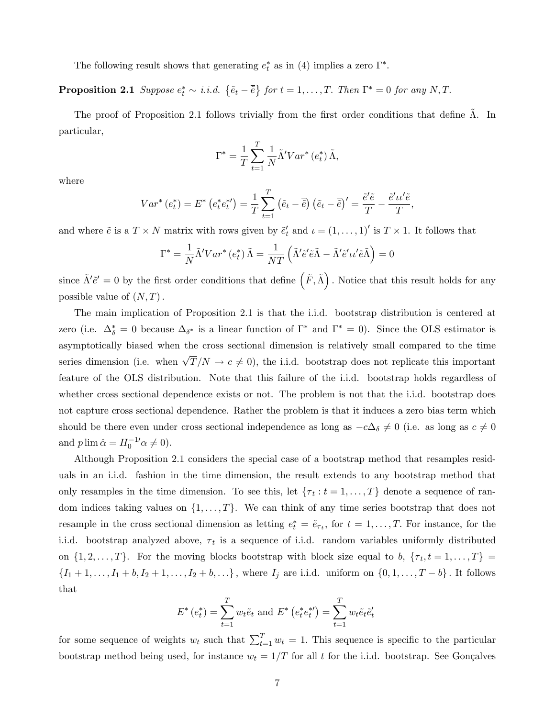The following result shows that generating  $e_t^*$  as in (4) implies a zero  $\Gamma^*$ .

**Proposition 2.1** Suppose  $e_t^* \sim i.i.d. \{ \tilde{e}_t - \overline{\tilde{e}} \}$  for  $t = 1, ..., T$ . Then  $\Gamma^* = 0$  for any N, T.

The proof of Proposition 2.1 follows trivially from the first order conditions that define  $\Lambda$ . In particular,

$$
\Gamma^* = \frac{1}{T} \sum_{t=1}^T \frac{1}{N} \tilde{\Lambda}' Var^* \left(e_t^*\right) \tilde{\Lambda},
$$

where

$$
Var^*(e_t^*) = E^* (e_t^* e_t^*) = \frac{1}{T} \sum_{t=1}^T (\tilde{e}_t - \overline{\tilde{e}}) (\tilde{e}_t - \overline{\tilde{e}})' = \frac{\tilde{e}' \tilde{e}}{T} - \frac{\tilde{e}' \iota \iota' \tilde{e}}{T},
$$

and where  $\tilde{e}$  is a  $T \times N$  matrix with rows given by  $\tilde{e}'_t$  and  $\iota = (1, \ldots, 1)'$  is  $T \times 1$ . It follows that

$$
\Gamma^* = \frac{1}{N} \tilde{\Lambda}^{\prime} Var^* \left( e_t^* \right) \tilde{\Lambda} = \frac{1}{NT} \left( \tilde{\Lambda}^{\prime} \tilde{e}^{\prime} \tilde{e} \tilde{\Lambda} - \tilde{\Lambda}^{\prime} \tilde{e}^{\prime} u^{\prime} \tilde{e} \tilde{\Lambda} \right) = 0
$$

since  $\tilde{\Lambda}'\tilde{e}' = 0$  by the first order conditions that define  $(\tilde{F}, \tilde{\Lambda})$ . Notice that this result holds for any possible value of  $(N, T)$ .

The main implication of Proposition 2.1 is that the i.i.d. bootstrap distribution is centered at zero (i.e.  $\Delta_{\delta}^* = 0$  because  $\Delta_{\delta^*}$  is a linear function of  $\Gamma^*$  and  $\Gamma^* = 0$ ). Since the OLS estimator is asymptotically biased when the cross sectional dimension is relatively small compared to the time series dimension (i.e. when  $\sqrt{T}/N \to c \neq 0$ ), the i.i.d. bootstrap does not replicate this important feature of the OLS distribution. Note that this failure of the i.i.d. bootstrap holds regardless of whether cross sectional dependence exists or not. The problem is not that the i.i.d. bootstrap does not capture cross sectional dependence. Rather the problem is that it induces a zero bias term which should be there even under cross sectional independence as long as  $-c\Delta_{\delta}\neq 0$  (i.e. as long as  $c\neq 0$ and  $p \lim \hat{\alpha} = H_0^{-1} \alpha \neq 0$ .

Although Proposition 2.1 considers the special case of a bootstrap method that resamples residuals in an i.i.d. fashion in the time dimension, the result extends to any bootstrap method that only resamples in the time dimension. To see this, let  $\{\tau_t : t = 1, \ldots, T\}$  denote a sequence of random indices taking values on  $\{1, \ldots, T\}$ . We can think of any time series bootstrap that does not resample in the cross sectional dimension as letting  $e_t^* = \tilde{e}_{\tau_t}$ , for  $t = 1, \ldots, T$ . For instance, for the i.i.d. bootstrap analyzed above,  $\tau_t$  is a sequence of i.i.d. random variables uniformly distributed on  $\{1, 2, \ldots, T\}$ . For the moving blocks bootstrap with block size equal to b,  $\{\tau_t, t = 1, \ldots, T\}$  $\{I_1 + 1, \ldots, I_1 + b, I_2 + 1, \ldots, I_2 + b, \ldots\}$ , where  $I_j$  are i.i.d. uniform on  $\{0, 1, \ldots, T - b\}$ . It follows that

$$
E^*(e_t^*) = \sum_{t=1}^T w_t \tilde{e}_t \text{ and } E^*(e_t^* e_t^*) = \sum_{t=1}^T w_t \tilde{e}_t \tilde{e}_t'
$$

for some sequence of weights  $w_t$  such that  $\sum_{t=1}^T w_t = 1$ . This sequence is specific to the particular bootstrap method being used, for instance  $w_t = 1/T$  for all t for the i.i.d. bootstrap. See Gonçalves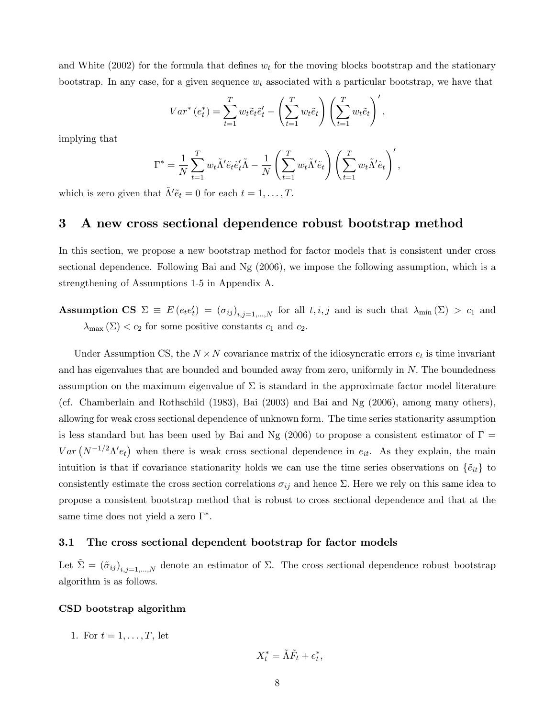and White (2002) for the formula that defines  $w_t$  for the moving blocks bootstrap and the stationary bootstrap. In any case, for a given sequence  $w_t$  associated with a particular bootstrap, we have that

$$
Var^*(e_t^*) = \sum_{t=1}^T w_t \tilde{e}_t \tilde{e}'_t - \left(\sum_{t=1}^T w_t \tilde{e}_t\right) \left(\sum_{t=1}^T w_t \tilde{e}_t\right)',
$$

implying that

$$
\Gamma^* = \frac{1}{N} \sum_{t=1}^T w_t \tilde{\Lambda}' \tilde{e}_t \tilde{e}'_t \tilde{\Lambda} - \frac{1}{N} \left( \sum_{t=1}^T w_t \tilde{\Lambda}' \tilde{e}_t \right) \left( \sum_{t=1}^T w_t \tilde{\Lambda}' \tilde{e}_t \right)',
$$

which is zero given that  $\tilde{\Lambda}' \tilde{e}_t = 0$  for each  $t = 1, \ldots, T$ .

### 3 A new cross sectional dependence robust bootstrap method

In this section, we propose a new bootstrap method for factor models that is consistent under cross sectional dependence. Following Bai and Ng (2006), we impose the following assumption, which is a strengthening of Assumptions 1-5 in Appendix A.

Assumption CS  $\Sigma \equiv E(e_t e_t') = (\sigma_{ij})_{i,j=1,...,N}$  for all  $t, i, j$  and is such that  $\lambda_{\min}(\Sigma) > c_1$  and  $\lambda_{\max} (\Sigma) < c_2$  for some positive constants  $c_1$  and  $c_2$ .

Under Assumption CS, the  $N \times N$  covariance matrix of the idiosyncratic errors  $e_t$  is time invariant and has eigenvalues that are bounded and bounded away from zero, uniformly in N. The boundedness assumption on the maximum eigenvalue of  $\Sigma$  is standard in the approximate factor model literature (cf. Chamberlain and Rothschild (1983), Bai (2003) and Bai and Ng (2006), among many others), allowing for weak cross sectional dependence of unknown form. The time series stationarity assumption is less standard but has been used by Bai and Ng (2006) to propose a consistent estimator of  $\Gamma =$  $Var(N^{-1/2}\Lambda' e_t)$  when there is weak cross sectional dependence in  $e_{it}$ . As they explain, the main intuition is that if covariance stationarity holds we can use the time series observations on  $\{\tilde{e}_{it}\}$  to consistently estimate the cross section correlations  $\sigma_{ij}$  and hence  $\Sigma$ . Here we rely on this same idea to propose a consistent bootstrap method that is robust to cross sectional dependence and that at the same time does not yield a zero  $\Gamma^*$ .

#### 3.1 The cross sectional dependent bootstrap for factor models

Let  $\tilde{\Sigma} = (\tilde{\sigma}_{ij})_{i,j=1,...,N}$  denote an estimator of  $\Sigma$ . The cross sectional dependence robust bootstrap algorithm is as follows.

#### CSD bootstrap algorithm

1. For  $t = 1, ..., T$ , let

$$
X_t^* = \tilde{\Lambda}\tilde{F}_t + e_t^*
$$

;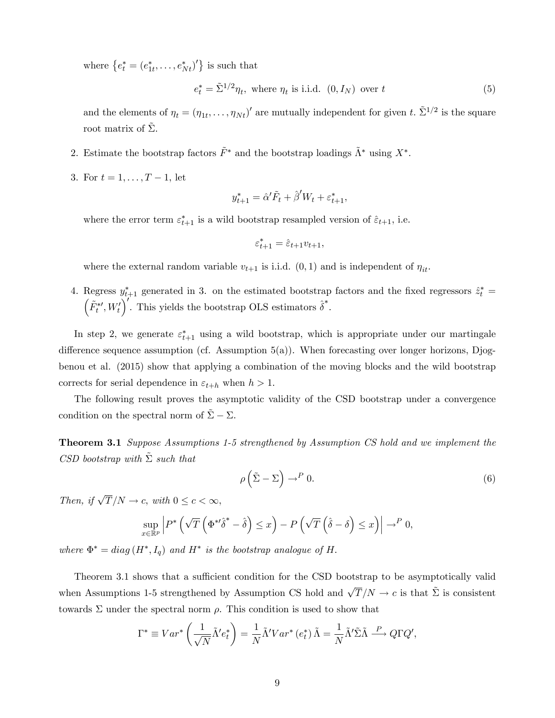where  $\{e_t^* = (e_{1t}^*, \ldots, e_{Nt}^*)'\}$  is such that

$$
e_t^* = \tilde{\Sigma}^{1/2} \eta_t, \text{ where } \eta_t \text{ is i.i.d. } (0, I_N) \text{ over } t
$$
 (5)

and the elements of  $\eta_t = (\eta_{1t}, \dots, \eta_{Nt})'$  are mutually independent for given t.  $\tilde{\Sigma}^{1/2}$  is the square root matrix of  $\Sigma$ .

- 2. Estimate the bootstrap factors  $\tilde{F}^*$  and the bootstrap loadings  $\tilde{\Lambda}^*$  using  $X^*$ .
- 3. For  $t = 1, ..., T 1$ , let

$$
y_{t+1}^* = \hat{\alpha}' \tilde{F}_t + \hat{\beta}' W_t + \varepsilon_{t+1}^*,
$$

where the error term  $\varepsilon_{t+1}^*$  is a wild bootstrap resampled version of  $\hat{\varepsilon}_{t+1}$ , i.e.

$$
\varepsilon_{t+1}^* = \hat{\varepsilon}_{t+1} v_{t+1},
$$

where the external random variable  $v_{t+1}$  is i.i.d.  $(0,1)$  and is independent of  $\eta_{it}$ .

4. Regress  $y_{t+1}^*$  generated in 3. on the estimated bootstrap factors and the fixed regressors  $\hat{z}_t^* = (\tilde{F}^{*t} W')^{\dagger}$ . This viable the bootstrap OIS setimated  $\hat{s}^*$ .  $\tilde{F}^{*\prime}_t, W_t'$ ). This yields the bootstrap OLS estimators  $\hat{\delta}^*$ .

In step 2, we generate  $\varepsilon_{t+1}^*$  using a wild bootstrap, which is appropriate under our martingale difference sequence assumption (cf. Assumption  $5(a)$ ). When forecasting over longer horizons, Djogbenou et al. (2015) show that applying a combination of the moving blocks and the wild bootstrap corrects for serial dependence in  $\varepsilon_{t+h}$  when  $h > 1$ .

The following result proves the asymptotic validity of the CSD bootstrap under a convergence condition on the spectral norm of  $\Sigma - \Sigma$ .

**Theorem 3.1** Suppose Assumptions 1-5 strengthened by Assumption CS hold and we implement the CSD bootstrap with  $\tilde{\Sigma}$  such that

$$
\rho\left(\tilde{\Sigma} - \Sigma\right) \to^P 0. \tag{6}
$$

Then, if  $\sqrt{T}/N \to c$ , with  $0 \leq c < \infty$ ,

$$
\sup_{x \in \mathbb{R}^p} \left| P^* \left( \sqrt{T} \left( \Phi^{*t} \hat{\delta}^* - \hat{\delta} \right) \le x \right) - P \left( \sqrt{T} \left( \hat{\delta} - \delta \right) \le x \right) \right| \to^P 0,
$$

where  $\Phi^* = diag(H^*, I_q)$  and  $H^*$  is the bootstrap analogue of H.

Theorem 3.1 shows that a sufficient condition for the CSD bootstrap to be asymptotically valid when Assumptions 1-5 strengthened by Assumption CS hold and  $\sqrt{T}/N \to c$  is that  $\tilde{\Sigma}$  is consistent towards  $\Sigma$  under the spectral norm  $\rho$ . This condition is used to show that

$$
\Gamma^* \equiv Var^* \left( \frac{1}{\sqrt{N}} \tilde{\Lambda}' e_t^* \right) = \frac{1}{N} \tilde{\Lambda}' Var^* \left( e_t^* \right) \tilde{\Lambda} = \frac{1}{N} \tilde{\Lambda}' \tilde{\Sigma} \tilde{\Lambda} \stackrel{P}{\longrightarrow} Q \Gamma Q',
$$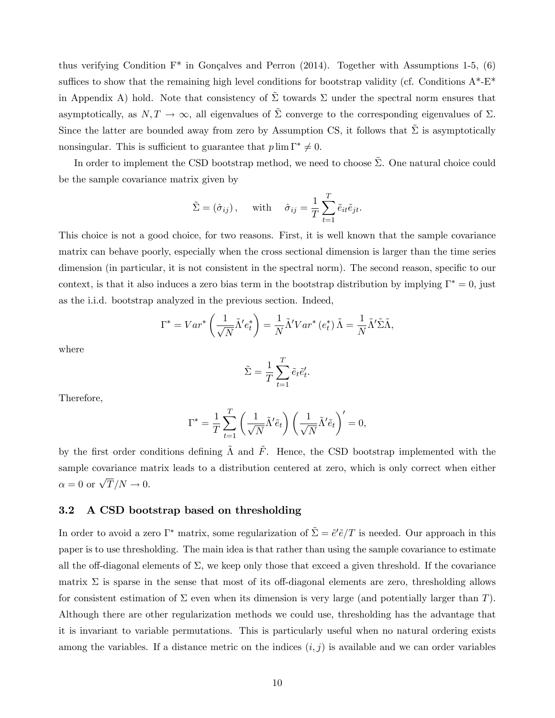thus verifying Condition  $F^*$  in Gonçalves and Perron (2014). Together with Assumptions 1-5, (6) suffices to show that the remaining high level conditions for bootstrap validity (cf. Conditions  $A^*$ - $E^*$ in Appendix A) hold. Note that consistency of  $\tilde{\Sigma}$  towards  $\Sigma$  under the spectral norm ensures that asymptotically, as  $N, T \to \infty$ , all eigenvalues of  $\tilde{\Sigma}$  converge to the corresponding eigenvalues of  $\Sigma$ . Since the latter are bounded away from zero by Assumption CS, it follows that  $\tilde{\Sigma}$  is asymptotically nonsingular. This is sufficient to guarantee that  $p \lim \Gamma^* \neq 0$ .

In order to implement the CSD bootstrap method, we need to choose  $\tilde{\Sigma}$ . One natural choice could be the sample covariance matrix given by

$$
\tilde{\Sigma} = (\hat{\sigma}_{ij}),
$$
 with  $\hat{\sigma}_{ij} = \frac{1}{T} \sum_{t=1}^{T} \tilde{e}_{it} \tilde{e}_{jt}.$ 

This choice is not a good choice, for two reasons. First, it is well known that the sample covariance matrix can behave poorly, especially when the cross sectional dimension is larger than the time series dimension (in particular, it is not consistent in the spectral norm). The second reason, specific to our context, is that it also induces a zero bias term in the bootstrap distribution by implying  $\Gamma^* = 0$ , just as the i.i.d. bootstrap analyzed in the previous section. Indeed,

$$
\Gamma^* = Var^* \left( \frac{1}{\sqrt{N}} \tilde{\Lambda}' e_t^* \right) = \frac{1}{N} \tilde{\Lambda}' Var^* \left( e_t^* \right) \tilde{\Lambda} = \frac{1}{N} \tilde{\Lambda}' \tilde{\Sigma} \tilde{\Lambda},
$$

where

$$
\tilde{\Sigma} = \frac{1}{T} \sum_{t=1}^{T} \tilde{e}_t \tilde{e}'_t.
$$

Therefore,

$$
\Gamma^* = \frac{1}{T} \sum_{t=1}^T \left( \frac{1}{\sqrt{N}} \tilde{\Lambda}' \tilde{e}_t \right) \left( \frac{1}{\sqrt{N}} \tilde{\Lambda}' \tilde{e}_t \right)' = 0,
$$

by the first order conditions defining  $\tilde{\Lambda}$  and  $\tilde{F}$ . Hence, the CSD bootstrap implemented with the sample covariance matrix leads to a distribution centered at zero, which is only correct when either  $\alpha = 0$  or  $\sqrt{T}/N \to 0$ .

### 3.2 A CSD bootstrap based on thresholding

In order to avoid a zero  $\Gamma^*$  matrix, some regularization of  $\tilde{\Sigma} = \tilde{e}'\tilde{e}/T$  is needed. Our approach in this paper is to use thresholding. The main idea is that rather than using the sample covariance to estimate all the off-diagonal elements of  $\Sigma$ , we keep only those that exceed a given threshold. If the covariance matrix  $\Sigma$  is sparse in the sense that most of its off-diagonal elements are zero, thresholding allows for consistent estimation of  $\Sigma$  even when its dimension is very large (and potentially larger than T). Although there are other regularization methods we could use, thresholding has the advantage that it is invariant to variable permutations. This is particularly useful when no natural ordering exists among the variables. If a distance metric on the indices  $(i, j)$  is available and we can order variables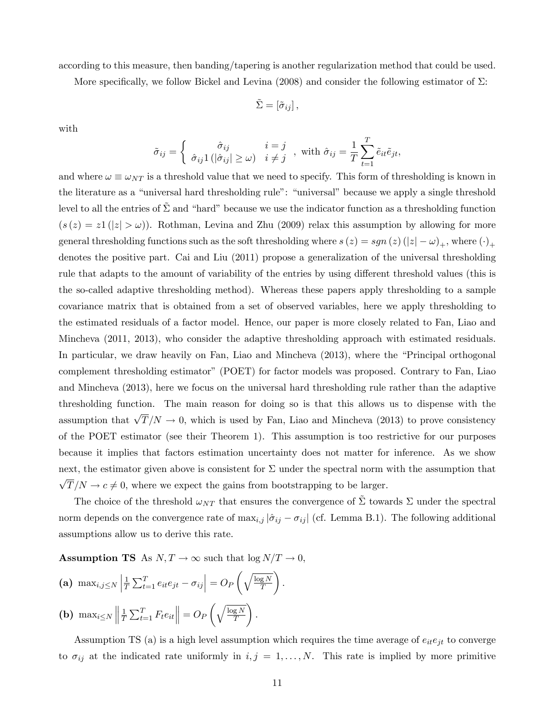according to this measure, then banding/tapering is another regularization method that could be used.

More specifically, we follow Bickel and Levina (2008) and consider the following estimator of  $\Sigma$ :

$$
\tilde{\Sigma} = [\tilde{\sigma}_{ij}],
$$

with

$$
\tilde{\sigma}_{ij} = \begin{cases}\n\hat{\sigma}_{ij} & i = j \\
\hat{\sigma}_{ij} 1 (|\hat{\sigma}_{ij}| \ge \omega) & i \ne j\n\end{cases}, \text{ with } \hat{\sigma}_{ij} = \frac{1}{T} \sum_{t=1}^{T} \tilde{e}_{it} \tilde{e}_{jt},
$$

and where  $\omega \equiv \omega_{NT}$  is a threshold value that we need to specify. This form of thresholding is known in the literature as a "universal hard thresholding rule": "universal" because we apply a single threshold level to all the entries of  $\Sigma$  and "hard" because we use the indicator function as a thresholding function  $(s(z) = z1(|z| > \omega))$ . Rothman, Levina and Zhu (2009) relax this assumption by allowing for more general thresholding functions such as the soft thresholding where  $s(z) = sgn(z) (|z| - \omega)_+,$  where  $(\cdot)_+$ denotes the positive part. Cai and Liu (2011) propose a generalization of the universal thresholding rule that adapts to the amount of variability of the entries by using different threshold values (this is the so-called adaptive thresholding method). Whereas these papers apply thresholding to a sample covariance matrix that is obtained from a set of observed variables, here we apply thresholding to the estimated residuals of a factor model. Hence, our paper is more closely related to Fan, Liao and Mincheva (2011, 2013), who consider the adaptive thresholding approach with estimated residuals. In particular, we draw heavily on Fan, Liao and Mincheva (2013), where the "Principal orthogonal complement thresholding estimatorî (POET) for factor models was proposed. Contrary to Fan, Liao and Mincheva (2013), here we focus on the universal hard thresholding rule rather than the adaptive thresholding function. The main reason for doing so is that this allows us to dispense with the assumption that  $\sqrt{T}/N \to 0$ , which is used by Fan, Liao and Mincheva (2013) to prove consistency of the POET estimator (see their Theorem 1). This assumption is too restrictive for our purposes because it implies that factors estimation uncertainty does not matter for inference. As we show next, the estimator given above is consistent for  $\Sigma$  under the spectral norm with the assumption that  $\sqrt{T}/N \to c \neq 0$ , where we expect the gains from bootstrapping to be larger.

The choice of the threshold  $\omega_{NT}$  that ensures the convergence of  $\Sigma$  towards  $\Sigma$  under the spectral norm depends on the convergence rate of  $\max_{i,j} |\hat{\sigma}_{ij} - \sigma_{ij}|$  (cf. Lemma B.1). The following additional assumptions allow us to derive this rate.

**Assumption TS** As  $N, T \to \infty$  such that  $\log N/T \to 0$ ,

(a)  $\max_{i,j\leq N}$ 1  $\frac{1}{T} \sum_{t=1}^{T} e_{it} e_{jt} - \sigma_{ij}$  = O<sub>F</sub>  $\int \sqrt{\log N}$ T <sup>1</sup> :  $\frac{1}{2}$  $\parallel$  $\left( \begin{array}{c} \end{array} \right)$ <sup>1</sup>

**(b)** 
$$
\max_{i \leq N} \left\| \frac{1}{T} \sum_{t=1}^{T} F_t e_{it} \right\| = O_P \left( \sqrt{\frac{\log N}{T}} \right).
$$

Assumption TS (a) is a high level assumption which requires the time average of  $e_{it}e_{jt}$  to converge to  $\sigma_{ij}$  at the indicated rate uniformly in  $i, j = 1, ..., N$ . This rate is implied by more primitive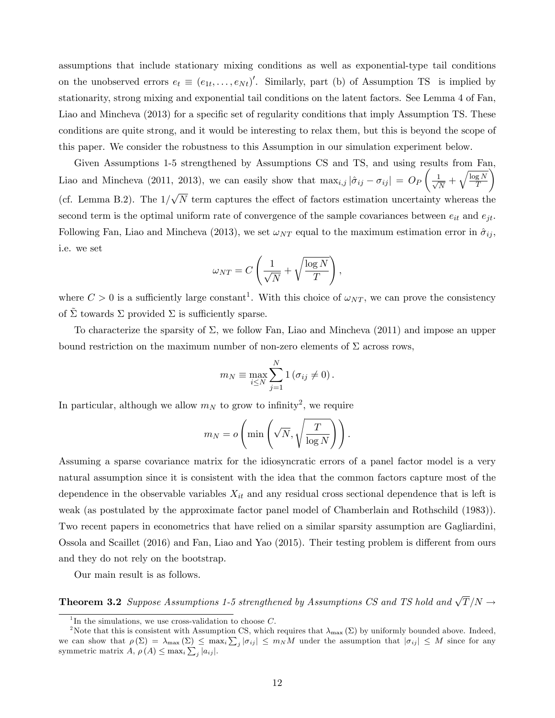assumptions that include stationary mixing conditions as well as exponential-type tail conditions on the unobserved errors  $e_t \equiv (e_{1t}, \ldots, e_{Nt})'$ . Similarly, part (b) of Assumption TS is implied by stationarity, strong mixing and exponential tail conditions on the latent factors. See Lemma 4 of Fan, Liao and Mincheva (2013) for a specific set of regularity conditions that imply Assumption TS. These conditions are quite strong, and it would be interesting to relax them, but this is beyond the scope of this paper. We consider the robustness to this Assumption in our simulation experiment below.

Given Assumptions 1-5 strengthened by Assumptions CS and TS, and using results from Fan, Liao and Mincheva (2011, 2013), we can easily show that  $\max_{i,j} |\hat{\sigma}_{ij} - \sigma_{ij}| = O_P$  $\sqrt{ }$  $\frac{1}{\sqrt{2}}$  $\frac{1}{N}+\sqrt{\frac{\log N}{T}}$ T Ý (cf. Lemma B.2). The  $1/\sqrt{N}$  term captures the effect of factors estimation uncertainty whereas the second term is the optimal uniform rate of convergence of the sample covariances between  $e_{it}$  and  $e_{it}$ . Following Fan, Liao and Mincheva (2013), we set  $\omega_{NT}$  equal to the maximum estimation error in  $\hat{\sigma}_{ij}$ , i.e. we set

$$
\omega_{NT} = C \left( \frac{1}{\sqrt{N}} + \sqrt{\frac{\log N}{T}} \right),\,
$$

where  $C > 0$  is a sufficiently large constant<sup>1</sup>. With this choice of  $\omega_{NT}$ , we can prove the consistency of  $\Sigma$  towards  $\Sigma$  provided  $\Sigma$  is sufficiently sparse.

To characterize the sparsity of  $\Sigma$ , we follow Fan, Liao and Mincheva (2011) and impose an upper bound restriction on the maximum number of non-zero elements of  $\Sigma$  across rows,

$$
m_N \equiv \max_{i \leq N} \sum_{j=1}^N 1 (\sigma_{ij} \neq 0).
$$

In particular, although we allow  $m_N$  to grow to infinity<sup>2</sup>, we require

$$
m_N = o\left(\min\left(\sqrt{N}, \sqrt{\frac{T}{\log N}}\right)\right).
$$

Assuming a sparse covariance matrix for the idiosyncratic errors of a panel factor model is a very natural assumption since it is consistent with the idea that the common factors capture most of the dependence in the observable variables  $X_{it}$  and any residual cross sectional dependence that is left is weak (as postulated by the approximate factor panel model of Chamberlain and Rothschild (1983)). Two recent papers in econometrics that have relied on a similar sparsity assumption are Gagliardini, Ossola and Scaillet (2016) and Fan, Liao and Yao (2015). Their testing problem is different from ours and they do not rely on the bootstrap.

Our main result is as follows.

**Theorem 3.2** Suppose Assumptions 1-5 strengthened by Assumptions CS and TS hold and  $\sqrt{T}/N \rightarrow$ 

<sup>&</sup>lt;sup>1</sup>In the simulations, we use cross-validation to choose  $C$ .

<sup>&</sup>lt;sup>2</sup>Note that this is consistent with Assumption CS, which requires that  $\lambda_{\max}$  ( $\Sigma$ ) by uniformly bounded above. Indeed, we can show that  $\rho(\Sigma) = \lambda_{\max}(\Sigma) \le \max_i \sum_j |\sigma_{ij}| \le m_N M$  under the assumption that  $|\sigma_{ij}| \le M$  since for any symmetric matrix  $A, \rho(A) \leq \max_i \sum_j |a_{ij}|.$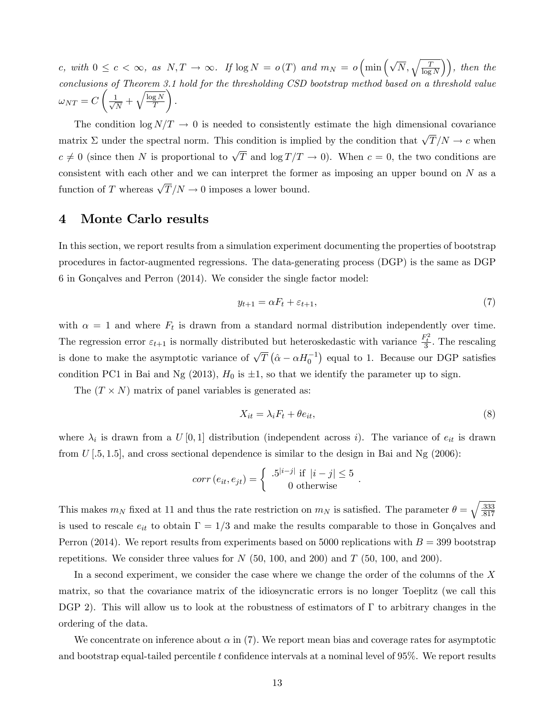c, with  $0 \leq c < \infty$ , as  $N, T \to \infty$ . If  $\log N = o(T)$  and  $m_N = o\left(\min\left(\sqrt{N}, \sqrt{\frac{T}{\log N}}\right)\right)$ , then the conclusions of Theorem 3.1 hold for the thresholding CSD bootstrap method based on a threshold value  $\omega_{NT} = C$  $\sqrt{ }$  $\frac{1}{\sqrt{2}}$  $\frac{1}{N}+\sqrt{\frac{\log N}{T}}$ T <sup>1</sup> :

The condition  $\log N/T \rightarrow 0$  is needed to consistently estimate the high dimensional covariance matrix  $\Sigma$  under the spectral norm. This condition is implied by the condition that  $\sqrt{T}/N \to c$  when  $c \neq 0$  (since then N is proportional to  $\sqrt{T}$  and  $\log T/T \to 0$ ). When  $c = 0$ , the two conditions are consistent with each other and we can interpret the former as imposing an upper bound on  $N$  as a function of T whereas  $\sqrt{T}/N \to 0$  imposes a lower bound.

## 4 Monte Carlo results

In this section, we report results from a simulation experiment documenting the properties of bootstrap procedures in factor-augmented regressions. The data-generating process (DGP) is the same as DGP  $6$  in Gonçalves and Perron  $(2014)$ . We consider the single factor model:

$$
y_{t+1} = \alpha F_t + \varepsilon_{t+1},\tag{7}
$$

with  $\alpha = 1$  and where  $F_t$  is drawn from a standard normal distribution independently over time. The regression error  $\varepsilon_{t+1}$  is normally distributed but heteroskedastic with variance  $\frac{F_t^2}{3}$ . The rescaling is done to make the asymptotic variance of  $\sqrt{T} (\hat{\alpha} - \alpha H_0^{-1})$  equal to 1. Because our DGP satisfies condition PC1 in Bai and Ng (2013),  $H_0$  is  $\pm 1$ , so that we identify the parameter up to sign.

The  $(T \times N)$  matrix of panel variables is generated as:

$$
X_{it} = \lambda_i F_t + \theta e_{it},\tag{8}
$$

where  $\lambda_i$  is drawn from a  $U[0,1]$  distribution (independent across i). The variance of  $e_{it}$  is drawn from  $U$  [.5, 1.5], and cross sectional dependence is similar to the design in Bai and Ng (2006):

$$
corr(e_{it}, e_{jt}) = \begin{cases} .5^{|i-j|} \text{ if } |i-j| \leq 5 \\ 0 \text{ otherwise} \end{cases}.
$$

This makes  $m_N$  fixed at 11 and thus the rate restriction on  $m_N$  is satisfied. The parameter  $\theta = \sqrt{\frac{333}{817}}$ :817 is used to rescale  $e_{it}$  to obtain  $\Gamma = 1/3$  and make the results comparable to those in Gonçalves and Perron (2014). We report results from experiments based on 5000 replications with  $B = 399$  bootstrap repetitions. We consider three values for  $N$  (50, 100, and 200) and  $T$  (50, 100, and 200).

In a second experiment, we consider the case where we change the order of the columns of the X matrix, so that the covariance matrix of the idiosyncratic errors is no longer Toeplitz (we call this DGP 2). This will allow us to look at the robustness of estimators of  $\Gamma$  to arbitrary changes in the ordering of the data.

We concentrate on inference about  $\alpha$  in (7). We report mean bias and coverage rates for asymptotic and bootstrap equal-tailed percentile t confidence intervals at a nominal level of  $95\%$ . We report results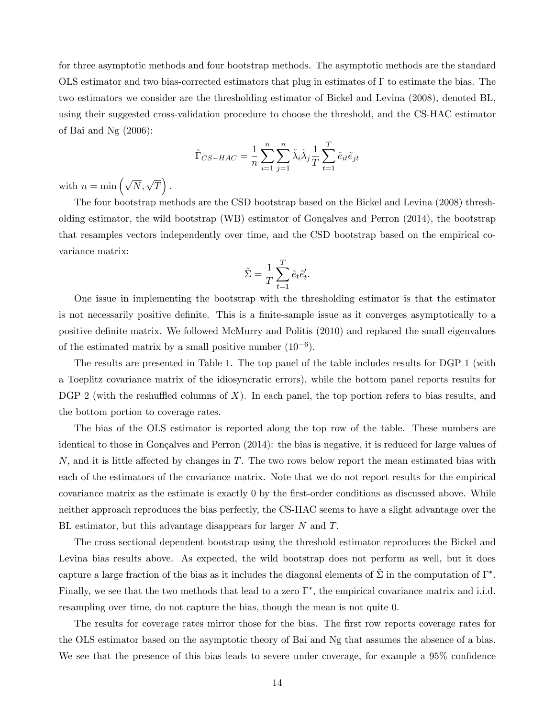for three asymptotic methods and four bootstrap methods. The asymptotic methods are the standard OLS estimator and two bias-corrected estimators that plug in estimates of  $\Gamma$  to estimate the bias. The two estimators we consider are the thresholding estimator of Bickel and Levina (2008), denoted BL, using their suggested cross-validation procedure to choose the threshold, and the CS-HAC estimator of Bai and Ng (2006):

$$
\hat{\Gamma}_{CS-HAC} = \frac{1}{n} \sum_{i=1}^{n} \sum_{j=1}^{n} \tilde{\lambda}_i \tilde{\lambda}_j \frac{1}{T} \sum_{t=1}^{T} \tilde{e}_{it} \tilde{e}_{jt}
$$

with  $n = \min \left( \sqrt{N}, \sqrt{T} \right)$ .

The four bootstrap methods are the CSD bootstrap based on the Bickel and Levina (2008) thresholding estimator, the wild bootstrap (WB) estimator of Gonçalves and Perron  $(2014)$ , the bootstrap that resamples vectors independently over time, and the CSD bootstrap based on the empirical covariance matrix:

$$
\tilde{\Sigma} = \frac{1}{T} \sum_{t=1}^T \tilde{e}_t \tilde{e}'_t.
$$

One issue in implementing the bootstrap with the thresholding estimator is that the estimator is not necessarily positive definite. This is a finite-sample issue as it converges asymptotically to a positive definite matrix. We followed McMurry and Politis (2010) and replaced the small eigenvalues of the estimated matrix by a small positive number  $(10^{-6})$ .

The results are presented in Table 1. The top panel of the table includes results for DGP 1 (with a Toeplitz covariance matrix of the idiosyncratic errors), while the bottom panel reports results for DGP 2 (with the reshuffled columns of X). In each panel, the top portion refers to bias results, and the bottom portion to coverage rates.

The bias of the OLS estimator is reported along the top row of the table. These numbers are identical to those in Gonçalves and Perron  $(2014)$ : the bias is negative, it is reduced for large values of N, and it is little affected by changes in T. The two rows below report the mean estimated bias with each of the estimators of the covariance matrix. Note that we do not report results for the empirical covariance matrix as the estimate is exactly 0 by the first-order conditions as discussed above. While neither approach reproduces the bias perfectly, the CS-HAC seems to have a slight advantage over the BL estimator, but this advantage disappears for larger  $N$  and  $T$ .

The cross sectional dependent bootstrap using the threshold estimator reproduces the Bickel and Levina bias results above. As expected, the wild bootstrap does not perform as well, but it does capture a large fraction of the bias as it includes the diagonal elements of  $\tilde{\Sigma}$  in the computation of  $\Gamma^*$ . Finally, we see that the two methods that lead to a zero  $\Gamma^*$ , the empirical covariance matrix and i.i.d. resampling over time, do not capture the bias, though the mean is not quite 0.

The results for coverage rates mirror those for the bias. The first row reports coverage rates for the OLS estimator based on the asymptotic theory of Bai and Ng that assumes the absence of a bias. We see that the presence of this bias leads to severe under coverage, for example a 95% confidence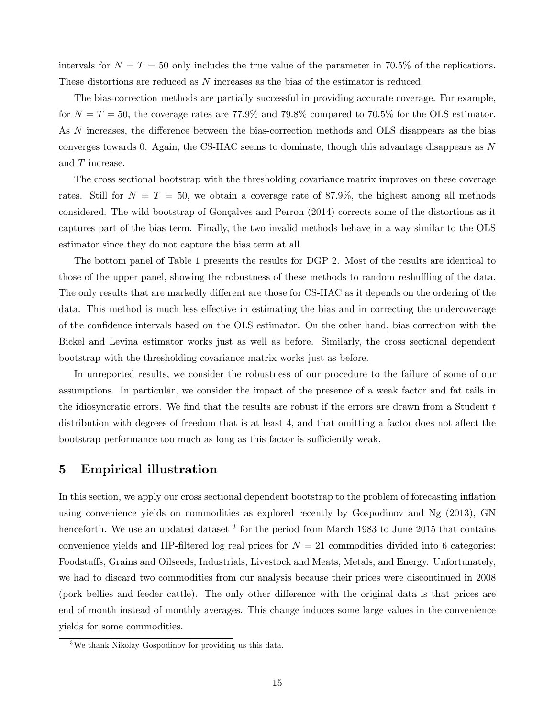intervals for  $N = T = 50$  only includes the true value of the parameter in 70.5% of the replications. These distortions are reduced as N increases as the bias of the estimator is reduced.

The bias-correction methods are partially successful in providing accurate coverage. For example, for  $N = T = 50$ , the coverage rates are 77.9% and 79.8% compared to 70.5% for the OLS estimator. As  $N$  increases, the difference between the bias-correction methods and OLS disappears as the bias converges towards 0. Again, the CS-HAC seems to dominate, though this advantage disappears as N and T increase.

The cross sectional bootstrap with the thresholding covariance matrix improves on these coverage rates. Still for  $N = T = 50$ , we obtain a coverage rate of 87.9%, the highest among all methods considered. The wild bootstrap of Gonçalves and Perron (2014) corrects some of the distortions as it captures part of the bias term. Finally, the two invalid methods behave in a way similar to the OLS estimator since they do not capture the bias term at all.

The bottom panel of Table 1 presents the results for DGP 2. Most of the results are identical to those of the upper panel, showing the robustness of these methods to random reshuffling of the data. The only results that are markedly different are those for CS-HAC as it depends on the ordering of the data. This method is much less effective in estimating the bias and in correcting the undercoverage of the confidence intervals based on the OLS estimator. On the other hand, bias correction with the Bickel and Levina estimator works just as well as before. Similarly, the cross sectional dependent bootstrap with the thresholding covariance matrix works just as before.

In unreported results, we consider the robustness of our procedure to the failure of some of our assumptions. In particular, we consider the impact of the presence of a weak factor and fat tails in the idiosyncratic errors. We find that the results are robust if the errors are drawn from a Student  $t$ distribution with degrees of freedom that is at least 4, and that omitting a factor does not affect the bootstrap performance too much as long as this factor is sufficiently weak.

### 5 Empirical illustration

In this section, we apply our cross sectional dependent bootstrap to the problem of forecasting inflation using convenience yields on commodities as explored recently by Gospodinov and Ng (2013), GN henceforth. We use an updated dataset  $3$  for the period from March 1983 to June 2015 that contains convenience yields and HP-filtered log real prices for  $N = 21$  commodities divided into 6 categories: Foodstuffs, Grains and Oilseeds, Industrials, Livestock and Meats, Metals, and Energy. Unfortunately, we had to discard two commodities from our analysis because their prices were discontinued in 2008 (pork bellies and feeder cattle). The only other difference with the original data is that prices are end of month instead of monthly averages. This change induces some large values in the convenience yields for some commodities.

<sup>3</sup>We thank Nikolay Gospodinov for providing us this data.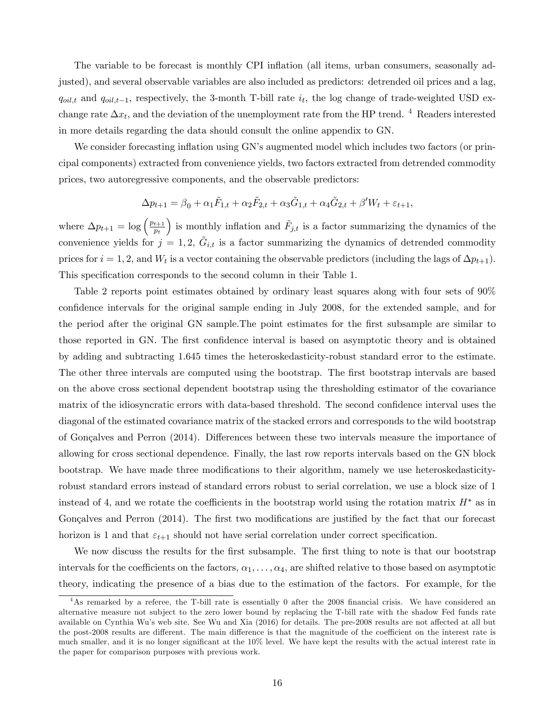The variable to be forecast is monthly CPI inflation (all items, urban consumers, seasonally adjusted), and several observable variables are also included as predictors: detrended oil prices and a lag,  $q_{oil,t}$  and  $q_{oil,t-1}$ , respectively, the 3-month T-bill rate  $i_t$ , the log change of trade-weighted USD exchange rate  $\Delta x_t$ , and the deviation of the unemployment rate from the HP trend. <sup>4</sup> Readers interested in more details regarding the data should consult the online appendix to GN.

We consider forecasting inflation using GN's augmented model which includes two factors (or principal components) extracted from convenience yields, two factors extracted from detrended commodity prices, two autoregressive components, and the observable predictors:

$$
\Delta p_{t+1} = \beta_0 + \alpha_1 \tilde{F}_{1,t} + \alpha_2 \tilde{F}_{2,t} + \alpha_3 \tilde{G}_{1,t} + \alpha_4 \tilde{G}_{2,t} + \beta' W_t + \varepsilon_{t+1},
$$

where  $\Delta p_{t+1} = \log \left( \frac{p_{t+1}}{p_t} \right)$  $\overline{p_t}$ ) is monthly inflation and  $\tilde{F}_{j,t}$  is a factor summarizing the dynamics of the convenience yields for  $j = 1, 2, \tilde{G}_{i,t}$  is a factor summarizing the dynamics of detrended commodity prices for  $i = 1, 2$ , and  $W_t$  is a vector containing the observable predictors (including the lags of  $\Delta p_{t+1}$ ). This specification corresponds to the second column in their Table 1.

Table 2 reports point estimates obtained by ordinary least squares along with four sets of 90% confidence intervals for the original sample ending in July 2008, for the extended sample, and for the period after the original GN sample. The point estimates for the first subsample are similar to those reported in GN. The first confidence interval is based on asymptotic theory and is obtained by adding and subtracting 1.645 times the heteroskedasticity-robust standard error to the estimate. The other three intervals are computed using the bootstrap. The first bootstrap intervals are based on the above cross sectional dependent bootstrap using the thresholding estimator of the covariance matrix of the idiosyncratic errors with data-based threshold. The second confidence interval uses the diagonal of the estimated covariance matrix of the stacked errors and corresponds to the wild bootstrap of Gonçalves and Perron (2014). Differences between these two intervals measure the importance of allowing for cross sectional dependence. Finally, the last row reports intervals based on the GN block bootstrap. We have made three modifications to their algorithm, namely we use heteroskedasticityrobust standard errors instead of standard errors robust to serial correlation, we use a block size of 1 instead of 4, and we rotate the coefficients in the bootstrap world using the rotation matrix  $H^*$  as in Gonçalves and Perron (2014). The first two modifications are justified by the fact that our forecast horizon is 1 and that  $\varepsilon_{t+1}$  should not have serial correlation under correct specification.

We now discuss the results for the first subsample. The first thing to note is that our bootstrap intervals for the coefficients on the factors,  $\alpha_1, \ldots, \alpha_4$ , are shifted relative to those based on asymptotic theory, indicating the presence of a bias due to the estimation of the factors. For example, for the

 $4$ As remarked by a referee, the T-bill rate is essentially 0 after the 2008 financial crisis. We have considered an alternative measure not subject to the zero lower bound by replacing the T-bill rate with the shadow Fed funds rate available on Cynthia Wu's web site. See Wu and Xia (2016) for details. The pre-2008 results are not affected at all but the post-2008 results are different. The main difference is that the magnitude of the coefficient on the interest rate is much smaller, and it is no longer significant at the 10% level. We have kept the results with the actual interest rate in the paper for comparison purposes with previous work.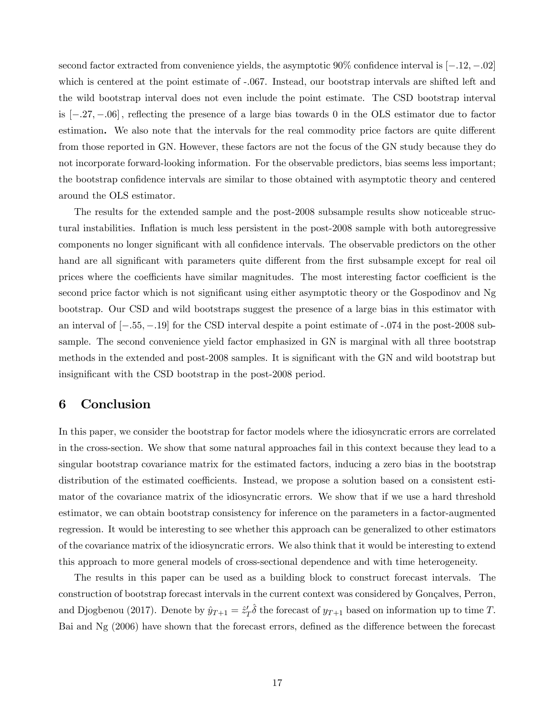second factor extracted from convenience yields, the asymptotic  $90\%$  confidence interval is  $[-.12, -.02]$ which is centered at the point estimate of -.067. Instead, our bootstrap intervals are shifted left and the wild bootstrap interval does not even include the point estimate. The CSD bootstrap interval is  $[-.27, -.06]$ , reflecting the presence of a large bias towards 0 in the OLS estimator due to factor estimation. We also note that the intervals for the real commodity price factors are quite different from those reported in GN. However, these factors are not the focus of the GN study because they do not incorporate forward-looking information. For the observable predictors, bias seems less important; the bootstrap confidence intervals are similar to those obtained with asymptotic theory and centered around the OLS estimator.

The results for the extended sample and the post-2008 subsample results show noticeable structural instabilities. Inflation is much less persistent in the post-2008 sample with both autoregressive components no longer significant with all confidence intervals. The observable predictors on the other hand are all significant with parameters quite different from the first subsample except for real oil prices where the coefficients have similar magnitudes. The most interesting factor coefficient is the second price factor which is not significant using either asymptotic theory or the Gospodinov and Ng bootstrap. Our CSD and wild bootstraps suggest the presence of a large bias in this estimator with an interval of  $[-.55, -.19]$  for the CSD interval despite a point estimate of  $-.074$  in the post-2008 subsample. The second convenience yield factor emphasized in GN is marginal with all three bootstrap methods in the extended and post-2008 samples. It is significant with the GN and wild bootstrap but insignificant with the CSD bootstrap in the post-2008 period.

### 6 Conclusion

In this paper, we consider the bootstrap for factor models where the idiosyncratic errors are correlated in the cross-section. We show that some natural approaches fail in this context because they lead to a singular bootstrap covariance matrix for the estimated factors, inducing a zero bias in the bootstrap distribution of the estimated coefficients. Instead, we propose a solution based on a consistent estimator of the covariance matrix of the idiosyncratic errors. We show that if we use a hard threshold estimator, we can obtain bootstrap consistency for inference on the parameters in a factor-augmented regression. It would be interesting to see whether this approach can be generalized to other estimators of the covariance matrix of the idiosyncratic errors. We also think that it would be interesting to extend this approach to more general models of cross-sectional dependence and with time heterogeneity.

The results in this paper can be used as a building block to construct forecast intervals. The construction of bootstrap forecast intervals in the current context was considered by Gonçalves, Perron, and Djogbenou (2017). Denote by  $\hat{y}_{T+1} = \hat{z}_T' \hat{\delta}$  the forecast of  $y_{T+1}$  based on information up to time T. Bai and  $Ng$  (2006) have shown that the forecast errors, defined as the difference between the forecast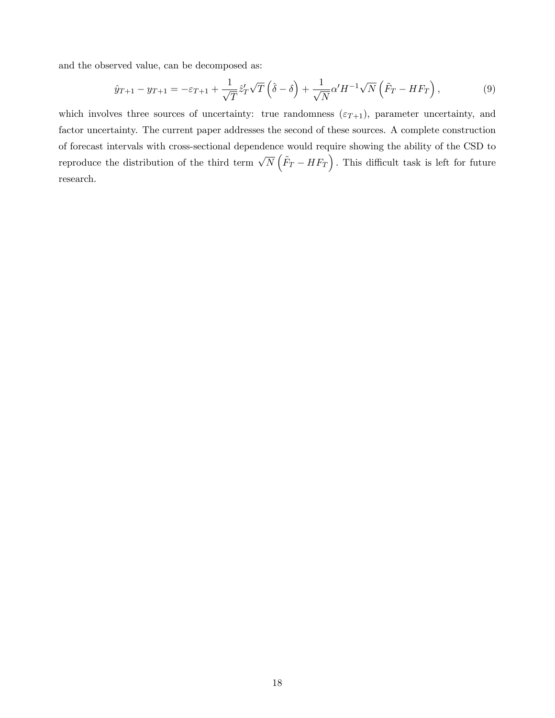and the observed value, can be decomposed as:

$$
\hat{y}_{T+1} - y_{T+1} = -\varepsilon_{T+1} + \frac{1}{\sqrt{T}} \hat{z}_T' \sqrt{T} \left( \hat{\delta} - \delta \right) + \frac{1}{\sqrt{N}} \alpha' H^{-1} \sqrt{N} \left( \tilde{F}_T - H F_T \right),\tag{9}
$$

which involves three sources of uncertainty: true randomness  $(\varepsilon_{T+1})$ , parameter uncertainty, and factor uncertainty. The current paper addresses the second of these sources. A complete construction of forecast intervals with cross-sectional dependence would require showing the ability of the CSD to reproduce the distribution of the third term  $\sqrt{N}(\tilde{F}_{T}-HF_{T})$ . This difficult task is left for future research.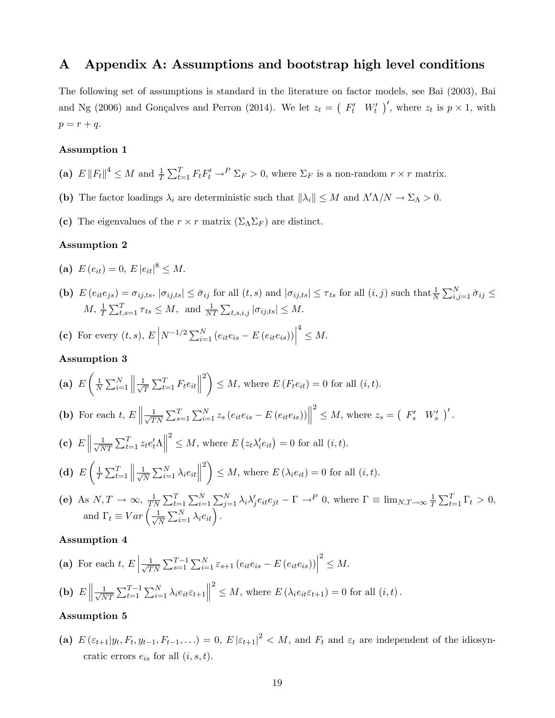### A Appendix A: Assumptions and bootstrap high level conditions

The following set of assumptions is standard in the literature on factor models, see Bai (2003), Bai and Ng (2006) and Gonçalves and Perron (2014). We let  $z_t = (F'_t W'_t)'$ , where  $z_t$  is  $p \times 1$ , with  $p = r + q.$ 

#### Assumption 1

- (a)  $E \|F_t\|^4 \leq M$  and  $\frac{1}{T} \sum_{t=1}^T F_t F_t' \to^P \sum_F > 0$ , where  $\Sigma_F$  is a non-random  $r \times r$  matrix.
- (b) The factor loadings  $\lambda_i$  are deterministic such that  $\|\lambda_i\| \leq M$  and  $\Lambda' \Lambda/N \to \Sigma_{\Lambda} > 0$ .
- (c) The eigenvalues of the  $r \times r$  matrix  $(\Sigma_{\Lambda} \Sigma_F)$  are distinct.

#### Assumption 2

- (a)  $E(e_{it}) = 0, E |e_{it}|^8 \leq M.$
- (b)  $E(e_{it}e_{js}) = \sigma_{ij,ts}$ ,  $|\sigma_{ij,ts}| \leq \bar{\sigma}_{ij}$  for all  $(t, s)$  and  $|\sigma_{ij,ts}| \leq \tau_{ts}$  for all  $(i, j)$  such that  $\frac{1}{N} \sum_{i,j=1}^{N} \bar{\sigma}_{ij} \leq$  $M, \frac{1}{T} \sum_{t,s=1}^{T} \tau_{ts} \leq M, \text{ and } \frac{1}{NT} \sum_{t,s,i,j} |\sigma_{ij,ts}| \leq M.$
- (c) For every  $(t, s)$ ,  $E\left| N^{-1/2} \sum_{i=1}^{N} (e_{it}e_{is} E(e_{it}e_{is})) \right|$  $\frac{4}{\leq M}.$

#### Assumption 3

(a) 
$$
E\left(\frac{1}{N}\sum_{i=1}^{N}\left\|\frac{1}{\sqrt{T}}\sum_{t=1}^{T}F_te_{it}\right\|^{2}\right)\leq M
$$
, where  $E\left(F_te_{it}\right)=0$  for all  $(i, t)$ .

**(b)** For each 
$$
t, E \left\| \frac{1}{\sqrt{TN}} \sum_{s=1}^T \sum_{i=1}^N z_s \left( e_{it} e_{is} - E \left( e_{it} e_{is} \right) \right) \right\|^2 \leq M
$$
, where  $z_s = \left( F'_s \ W'_s \right)'.$ 

(c)  $E \left\| \frac{1}{\sqrt{\Lambda}} \right\|$  $\frac{1}{NT} \sum_{t=1}^{T} z_t e_t' \Lambda \Big\|$  $\sum_{i=1}^{2} \leq M$ , where  $E(z_t \lambda'_i e_{it}) = 0$  for all  $(i, t)$ .

(d) 
$$
E\left(\frac{1}{T}\sum_{t=1}^T \left\|\frac{1}{\sqrt{N}}\sum_{i=1}^N \lambda_i e_{it}\right\|^2\right) \leq M
$$
, where  $E(\lambda_i e_{it}) = 0$  for all  $(i, t)$ .

(e) As 
$$
N, T \to \infty
$$
,  $\frac{1}{TN} \sum_{t=1}^T \sum_{i=1}^N \sum_{j=1}^N \lambda_i \lambda'_j e_{it} e_{jt} - \Gamma \to^P 0$ , where  $\Gamma \equiv \lim_{N,T \to \infty} \frac{1}{T} \sum_{t=1}^T \Gamma_t > 0$ , and  $\Gamma_t \equiv Var \left( \frac{1}{\sqrt{N}} \sum_{i=1}^N \lambda_i e_{it} \right)$ .

#### Assumption 4

(a) For each 
$$
t, E\left|\frac{1}{\sqrt{TN}}\sum_{s=1}^{T-1}\sum_{i=1}^{N}\varepsilon_{s+1}(e_{it}e_{is}-E(e_{it}e_{is}))\right|^2 \leq M.
$$

**(b)** 
$$
E \left\| \frac{1}{\sqrt{NT}} \sum_{t=1}^{T-1} \sum_{i=1}^{N} \lambda_i e_{it} \varepsilon_{t+1} \right\|^2 \leq M
$$
, where  $E(\lambda_i e_{it} \varepsilon_{t+1}) = 0$  for all  $(i, t)$ .

#### Assumption 5

(a)  $E(\varepsilon_{t+1}|y_t, F_t, y_{t-1}, F_{t-1}, \ldots) = 0, E |\varepsilon_{t+1}|^2 < M$ , and  $F_t$  and  $\varepsilon_t$  are independent of the idiosyncratic errors  $e_{is}$  for all  $(i, s, t)$ .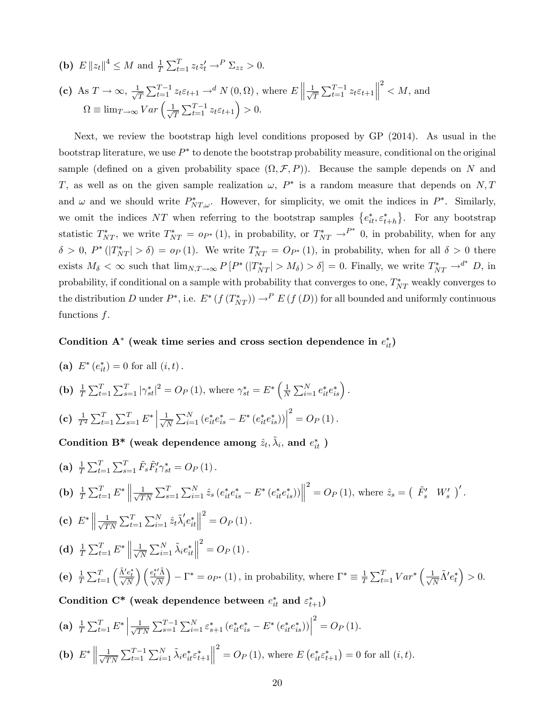(**b**)  $E \|z_t\|^4 \leq M$  and  $\frac{1}{T} \sum_{t=1}^T z_t z_t' \to^P \sum_{zz} > 0.$ (c) As  $T \to \infty$ ,  $\frac{1}{\sqrt{2}}$  $\frac{1}{T} \sum_{t=1}^{T-1} z_t \varepsilon_{t+1} \to^d N(0, \Omega)$ , where  $E \left\| \frac{1}{\sqrt{2\pi}} \right\|$  $\frac{1}{T} \sum_{t=1}^{T-1} z_t \varepsilon_{t+1}$  $2^2$  < M, and  $\Omega \equiv \lim_{T \to \infty} Var\left(\frac{1}{\sqrt{T}}\right)$  $\frac{1}{T} \sum_{t=1}^{T-1} z_t \varepsilon_{t+1}$  > 0.

Next, we review the bootstrap high level conditions proposed by GP (2014). As usual in the bootstrap literature, we use  $P^*$  to denote the bootstrap probability measure, conditional on the original sample (defined on a given probability space  $(\Omega, \mathcal{F}, P)$ ). Because the sample depends on N and T, as well as on the given sample realization  $\omega$ ,  $P^*$  is a random measure that depends on N, T and  $\omega$  and we should write  $P_{NT,\omega}^*$ . However, for simplicity, we omit the indices in  $P^*$ . Similarly, we omit the indices NT when referring to the bootstrap samples  ${e_{it}^*, \varepsilon_{t+h}^*}$ . For any bootstrap statistic  $T_{NT}^*$ , we write  $T_{NT}^* = o_{P^*}(1)$ , in probability, or  $T_{NT}^* \to^{P^*} 0$ , in probability, when for any  $\delta > 0$ ,  $P^*(|T^*_{NT}| > \delta) = o_P(1)$ . We write  $T^*_{NT} = O_{P^*}(1)$ , in probability, when for all  $\delta > 0$  there exists  $M_{\delta} < \infty$  such that  $\lim_{N,T \to \infty} P[P^*(|T^*_{NT}| > M_{\delta}) > \delta] = 0$ . Finally, we write  $T^*_{NT} \to^{d^*} D$ , in probability, if conditional on a sample with probability that converges to one,  $T_{NT}^*$  weakly converges to the distribution D under  $P^*$ , i.e.  $E^* (f(T^*_{NT})) \to^P E(f(D))$  for all bounded and uniformly continuous functions f.

### Condition  $A^*$  (weak time series and cross section dependence in  $e_{it}^*$ )

(a) 
$$
E^*(e_{it}^*) = 0
$$
 for all  $(i, t)$ .  
\n(b)  $\frac{1}{T} \sum_{t=1}^T \sum_{s=1}^T |\gamma_{st}^*|^2 = O_P(1)$ , where  $\gamma_{st}^* = E^* \left(\frac{1}{N} \sum_{i=1}^N e_{it}^* e_{is}^*\right)$ .  
\n(c)  $\frac{1}{T^2} \sum_{t=1}^T \sum_{s=1}^T E^* \left|\frac{1}{\sqrt{N}} \sum_{i=1}^N \left(e_{it}^* e_{is}^* - E^* \left(e_{it}^* e_{is}^*\right)\right)\right|^2 = O_P(1)$ .  
\nCondition B\* (weak dependence among  $\hat{z}_t, \hat{\lambda}_i$ , and  $e_{it}^*$ )  
\n(a)  $\frac{1}{T} \sum_{t=1}^T \sum_{s=1}^T \tilde{F}_s \tilde{F}_t' \gamma_{st}^* = O_P(1)$ .  
\n(b)  $\frac{1}{T} \sum_{t=1}^T E^* \left\|\frac{1}{\sqrt{TN}} \sum_{s=1}^T \sum_{i=1}^N \hat{z}_s (e_{it}^* e_{is}^* - E^* \left(e_{it}^* e_{is}^*)\right)\right\|^2 = O_P(1)$ , where  $\hat{z}_s = \begin{pmatrix} \tilde{F}_s' & W_s' \end{pmatrix}'$ .  
\n(c)  $E^* \left\|\frac{1}{\sqrt{TN}} \sum_{t=1}^T \sum_{i=1}^N \hat{z}_i \tilde{\lambda}_i' e_{it}^* \right\|^2 = O_P(1)$ .  
\n(d)  $\frac{1}{T} \sum_{t=1}^T E^* \left\|\frac{1}{\sqrt{N}} \sum_{i=1}^N \hat{\lambda}_i e_{it}^* \right\|^2 = O_P(1)$ .  
\n(e)  $\frac{1}{T} \sum_{t=1}^T E^* \left\|\frac{1}{\sqrt{N}} \sum_{i=1}^N \hat{\lambda}_i e_{it}^* \right\|^2 = O_P(1)$ .  
\n(e)  $\frac{1}{T} \sum_{t=1}^T \left(\frac{\hat{\lambda}' e_t^*}{\sqrt{N}}\right) \left(\frac{e_t^* \hat{\$ 

:

 $> 0.$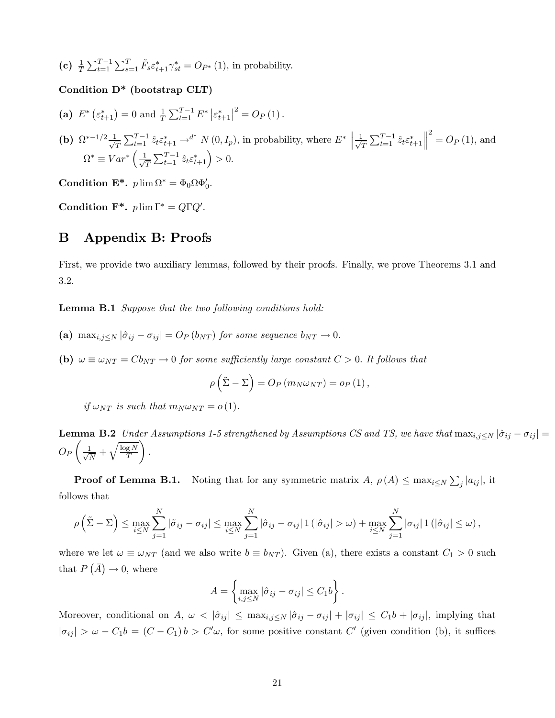(c)  $\frac{1}{T} \sum_{t=1}^{T-1} \sum_{s=1}^{T} \tilde{F}_s \varepsilon_{t+1}^* \gamma_{st}^* = O_{P^*}(1)$ , in probability.

### Condition D\* (bootstrap CLT)

(a)  $E^* \left( \varepsilon_{t+1}^* \right) = 0$  and  $\frac{1}{T} \sum_{t=1}^{T-1} E^* \left| \varepsilon_{t+1}^* \right|^2 = O_P \left( 1 \right)$ .

**(b)** 
$$
\Omega^{*-1/2} \frac{1}{\sqrt{T}} \sum_{t=1}^{T-1} \hat{z}_t \varepsilon_{t+1}^* \to^{d^*} N(0, I_p)
$$
, in probability, where  $E^* \left\| \frac{1}{\sqrt{T}} \sum_{t=1}^{T-1} \hat{z}_t \varepsilon_{t+1}^* \right\|^2 = O_P(1)$ , and  $\Omega^* \equiv Var^* \left( \frac{1}{\sqrt{T}} \sum_{t=1}^{T-1} \hat{z}_t \varepsilon_{t+1}^* \right) > 0$ .

Condition  $\mathbf{E}^*$ .  $p \lim \Omega^* = \Phi_0 \Omega \Phi'_0$ .

Condition  $\mathbf{F}^*$ .  $p \lim \Gamma^* = Q \Gamma Q'$ .

### B Appendix B: Proofs

First, we provide two auxiliary lemmas, followed by their proofs. Finally, we prove Theorems 3.1 and 3.2.

Lemma B.1 Suppose that the two following conditions hold:

- (a) max $_{i,j\leq N} |\hat{\sigma}_{ij} \sigma_{ij}| = O_P (b_{NT})$  for some sequence  $b_{NT} \rightarrow 0$ .
- (b)  $\omega \equiv \omega_{NT} = Cb_{NT} \rightarrow 0$  for some sufficiently large constant  $C > 0$ . It follows that

$$
\rho\left(\tilde{\Sigma} - \Sigma\right) = O_P\left(m_N\omega_{NT}\right) = o_P\left(1\right),\,
$$

if  $\omega_{NT}$  is such that  $m_N \omega_{NT} = o(1)$ .

**Lemma B.2** Under Assumptions 1-5 strengthened by Assumptions CS and TS, we have that  $\max_{i,j\leq N} |\hat{\sigma}_{ij} - \sigma_{ij}| =$  $O_{P}$  $\sqrt{2}$  $\frac{1}{\sqrt{2}}$  $\frac{1}{N} + \sqrt{\frac{\log N}{T}}$ T <sup>1</sup> :

**Proof of Lemma B.1.** Noting that for any symmetric matrix  $A$ ,  $\rho(A) \leq \max_{i \leq N} \sum_{j} |a_{ij}|$ , it follows that

$$
\rho\left(\tilde{\Sigma} - \Sigma\right) \le \max_{i \le N} \sum_{j=1}^N |\tilde{\sigma}_{ij} - \sigma_{ij}| \le \max_{i \le N} \sum_{j=1}^N |\hat{\sigma}_{ij} - \sigma_{ij}| \mathbb{1}(|\hat{\sigma}_{ij}| > \omega) + \max_{i \le N} \sum_{j=1}^N |\sigma_{ij}| \mathbb{1}(|\hat{\sigma}_{ij}| \le \omega),
$$

where we let  $\omega \equiv \omega_{NT}$  (and we also write  $b \equiv b_{NT}$ ). Given (a), there exists a constant  $C_1 > 0$  such that  $P(\bar{A}) \to 0$ , where

$$
A = \left\{ \max_{i,j \le N} |\hat{\sigma}_{ij} - \sigma_{ij}| \le C_1 b \right\}.
$$

Moreover, conditional on A,  $\omega < |\hat{\sigma}_{ij}| \leq \max_{i,j\leq N} |\hat{\sigma}_{ij} - \sigma_{ij}| + |\sigma_{ij}| \leq C_1 b + |\sigma_{ij}|$ , implying that  $|\sigma_{ij}| > \omega - C_1b = (C - C_1)b > C'\omega$ , for some positive constant C' (given condition (b), it suffices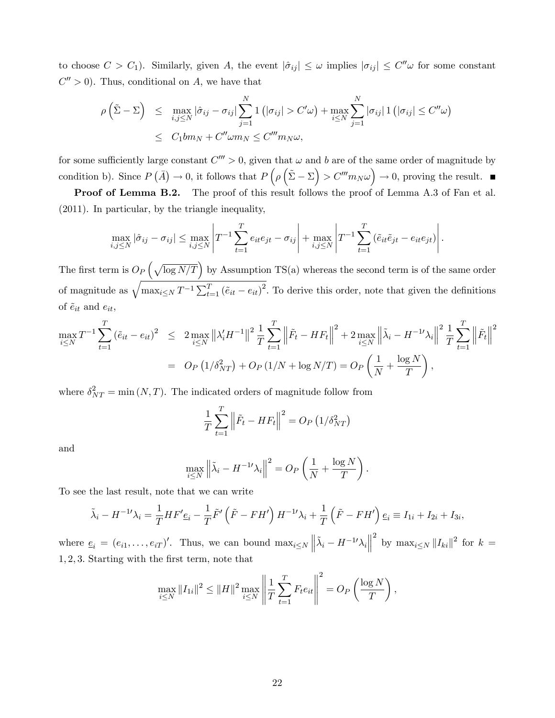to choose  $C > C_1$ ). Similarly, given A, the event  $|\hat{\sigma}_{ij}| \leq \omega$  implies  $|\sigma_{ij}| \leq C''\omega$  for some constant  $C'' > 0$ ). Thus, conditional on A, we have that

$$
\rho\left(\tilde{\Sigma} - \Sigma\right) \leq \max_{i,j \leq N} |\hat{\sigma}_{ij} - \sigma_{ij}| \sum_{j=1}^{N} \mathbb{1}\left(|\sigma_{ij}| > C'\omega\right) + \max_{i \leq N} \sum_{j=1}^{N} |\sigma_{ij}| \mathbb{1}\left(|\sigma_{ij}| \leq C''\omega\right) \leq C_1 b m_N + C'' \omega m_N \leq C''' m_N \omega,
$$

for some sufficiently large constant  $C''' > 0$ , given that  $\omega$  and b are of the same order of magnitude by condition b). Since  $P(\bar{A}) \to 0$ , it follows that  $P(\rho(\tilde{\Sigma} - \Sigma) > C''' m_N \omega) \to 0$ , proving the result.

**Proof of Lemma B.2.** The proof of this result follows the proof of Lemma A.3 of Fan et al. (2011). In particular, by the triangle inequality,

$$
\max_{i,j\leq N}|\hat{\sigma}_{ij}-\sigma_{ij}|\leq \max_{i,j\leq N}\left|T^{-1}\sum_{t=1}^T e_{it}e_{jt}-\sigma_{ij}\right|+\max_{i,j\leq N}\left|T^{-1}\sum_{t=1}^T\left(\tilde{e}_{it}\tilde{e}_{jt}-e_{it}e_{jt}\right)\right|.
$$

The first term is  $O_P\left(\sqrt{\log N/T}\right)$  by Assumption TS(a) whereas the second term is of the same order of magnitude as  $\sqrt{\max_{i\leq N} T^{-1} \sum_{t=1}^T (\tilde{e}_{it} - e_{it})^2}$ . To derive this order, note that given the definitions of  $\tilde{e}_{it}$  and  $e_{it}$ ,

$$
\max_{i \le N} T^{-1} \sum_{t=1}^{T} (\tilde{e}_{it} - e_{it})^2 \le 2 \max_{i \le N} \|\lambda'_i H^{-1}\|^2 \frac{1}{T} \sum_{t=1}^{T} \left\| \tilde{F}_t - H F_t \right\|^2 + 2 \max_{i \le N} \left\| \tilde{\lambda}_i - H^{-1} \lambda_i \right\|^2 \frac{1}{T} \sum_{t=1}^{T} \left\| \tilde{F}_t \right\|^2
$$
  
= 
$$
O_P\left(1/\delta_{NT}^2\right) + O_P\left(1/N + \log N/T\right) = O_P\left(\frac{1}{N} + \frac{\log N}{T}\right),
$$

where  $\delta_{NT}^2 = \min(N, T)$ . The indicated orders of magnitude follow from

$$
\frac{1}{T} \sum_{t=1}^{T} \left\| \tilde{F}_t - HF_t \right\|^2 = O_P \left( 1 / \delta_{NT}^2 \right)
$$

and

$$
\max_{i \le N} \left\| \tilde{\lambda}_i - H^{-1/2} \lambda_i \right\|^2 = O_P\left(\frac{1}{N} + \frac{\log N}{T}\right).
$$

To see the last result, note that we can write

$$
\tilde{\lambda}_i - H^{-1} \lambda_i = \frac{1}{T} H F' \underline{e}_i - \frac{1}{T} \tilde{F}' \left( \tilde{F} - F H' \right) H^{-1} \lambda_i + \frac{1}{T} \left( \tilde{F} - F H' \right) \underline{e}_i \equiv I_{1i} + I_{2i} + I_{3i},
$$

where  $\underline{e}_i = (e_{i1}, \ldots, e_{iT})'$ . Thus, we can bound  $\max_{i \le N} ||\tilde{\lambda}_i - H^{-1/2}\lambda_i||$ <sup>2</sup> by  $\max_{i \leq N} ||I_{ki}||^2$  for  $k =$ 1; 2; 3: Starting with the Örst term, note that

$$
\max_{i \leq N} \|I_{1i}\|^2 \leq \|H\|^2 \max_{i \leq N} \left\| \frac{1}{T} \sum_{t=1}^T F_t e_{it} \right\|^2 = O_P\left(\frac{\log N}{T}\right),
$$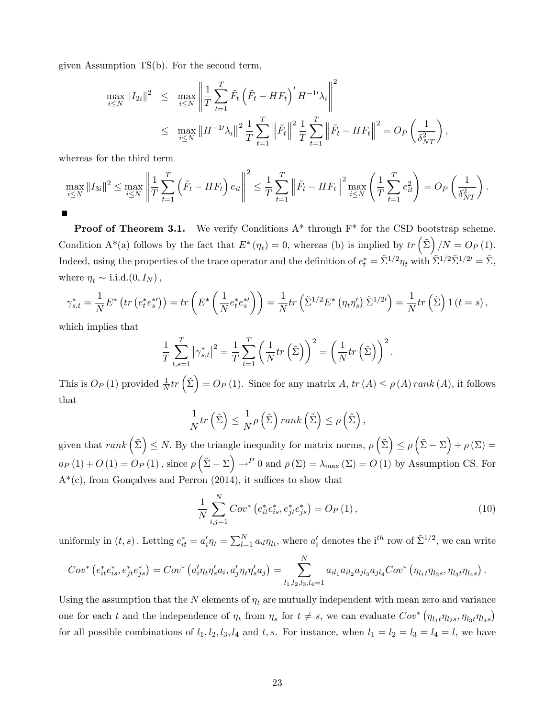given Assumption TS(b). For the second term,

$$
\max_{i \le N} \|I_{2i}\|^2 \le \max_{i \le N} \left\| \frac{1}{T} \sum_{t=1}^T \tilde{F}_t \left( \tilde{F}_t - HF_t \right)' H^{-1} \lambda_i \right\|^2
$$
  

$$
\le \max_{i \le N} \|H^{-1} \lambda_i\|^2 \frac{1}{T} \sum_{t=1}^T \left\| \tilde{F}_t \right\|^2 \frac{1}{T} \sum_{t=1}^T \left\| \tilde{F}_t - HF_t \right\|^2 = O_P \left( \frac{1}{\delta_{NT}^2} \right),
$$

whereas for the third term

$$
\max_{i \leq N} \|I_{3i}\|^2 \leq \max_{i \leq N} \left\| \frac{1}{T} \sum_{t=1}^T \left( \tilde{F}_t - HF_t \right) e_{it} \right\|^2 \leq \frac{1}{T} \sum_{t=1}^T \left\| \tilde{F}_t - HF_t \right\|^2 \max_{i \leq N} \left( \frac{1}{T} \sum_{t=1}^T e_{it}^2 \right) = O_P\left( \frac{1}{\delta_{NT}^2} \right).
$$

**Proof of Theorem 3.1.** We verify Conditions  $A^*$  through  $F^*$  for the CSD bootstrap scheme. Condition A<sup>\*</sup>(a) follows by the fact that  $E^*(\eta_t) = 0$ , whereas (b) is implied by  $tr\left(\tilde{\Sigma}\right)/N = O_P(1)$ . Indeed, using the properties of the trace operator and the definition of  $e_t^* = \tilde{\Sigma}^{1/2} \eta_t$  with  $\tilde{\Sigma}^{1/2} \tilde{\Sigma}^{1/2'} = \tilde{\Sigma}$ , where  $\eta_t \sim$  i.i.d. $(0, I_N )$ ,

$$
\gamma_{s,t}^* = \frac{1}{N} E^* \left( tr \left( e_t^* e_s^{*t} \right) \right) = tr \left( E^* \left( \frac{1}{N} e_t^* e_s^{*t} \right) \right) = \frac{1}{N} tr \left( \tilde{\Sigma}^{1/2} E^* \left( \eta_t \eta_s' \right) \tilde{\Sigma}^{1/2t} \right) = \frac{1}{N} tr \left( \tilde{\Sigma} \right) 1 \left( t = s \right),
$$

which implies that

$$
\frac{1}{T} \sum_{t,s=1}^T |\gamma_{s,t}^*|^2 = \frac{1}{T} \sum_{t=1}^T \left( \frac{1}{N} tr\left(\tilde{\Sigma}\right) \right)^2 = \left( \frac{1}{N} tr\left(\tilde{\Sigma}\right) \right)^2.
$$

This is  $O_P(1)$  provided  $\frac{1}{N}tr\left(\tilde{\Sigma}\right) = O_P(1)$ . Since for any matrix  $A, tr(A) \le \rho(A) rank(A)$ , it follows that

$$
\frac{1}{N}tr\left(\tilde{\Sigma}\right) \leq \frac{1}{N}\rho\left(\tilde{\Sigma}\right)rank\left(\tilde{\Sigma}\right) \leq \rho\left(\tilde{\Sigma}\right),
$$

given that  $rank(\tilde{\Sigma}) \leq N$ . By the triangle inequality for matrix norms,  $\rho(\tilde{\Sigma}) \leq \rho(\tilde{\Sigma} - \Sigma) + \rho(\Sigma) =$  $o_P(1) + O(1) = O_P(1)$ , since  $\rho\left(\tilde{\Sigma} - \Sigma\right) \to^P 0$  and  $\rho(\Sigma) = \lambda_{\max}(\Sigma) = O(1)$  by Assumption CS. For  $A^*(c)$ , from Gonçalves and Perron (2014), it suffices to show that

$$
\frac{1}{N} \sum_{i,j=1}^{N} Cov^* \left( e_{it}^* e_{is}^*, e_{jt}^* e_{js}^* \right) = O_P \left( 1 \right),\tag{10}
$$

uniformly in  $(t, s)$ . Letting  $e_{it}^* = a_i' \eta_t = \sum_{l=1}^N a_{il} \eta_{lt}$ , where  $a_i'$  denotes the i<sup>th</sup> row of  $\tilde{\Sigma}^{1/2}$ , we can write

$$
Cov^{*} (e_{it}^{*}e_{is}^{*}, e_{jt}^{*}e_{js}^{*}) = Cov^{*} (a_{i}'\eta_{t}\eta_{s}'a_{i}, a_{j}'\eta_{t}\eta_{s}'a_{j}) = \sum_{l_{1},l_{2},l_{3},l_{4}=1}^{N} a_{il_{1}}a_{il_{2}}a_{jl_{3}}a_{jl_{4}}Cov^{*} (\eta_{l_{1}t}\eta_{l_{2}s}, \eta_{l_{3}t}\eta_{l_{4}s}).
$$

Using the assumption that the N elements of  $\eta_t$  are mutually independent with mean zero and variance one for each t and the independence of  $\eta_t$  from  $\eta_s$  for  $t \neq s$ , we can evaluate  $Cov^* (\eta_{l_1t}\eta_{l_2s}, \eta_{l_3t}\eta_{l_4s})$ for all possible combinations of  $l_1, l_2, l_3, l_4$  and  $t, s$ . For instance, when  $l_1 = l_2 = l_3 = l_4 = l$ , we have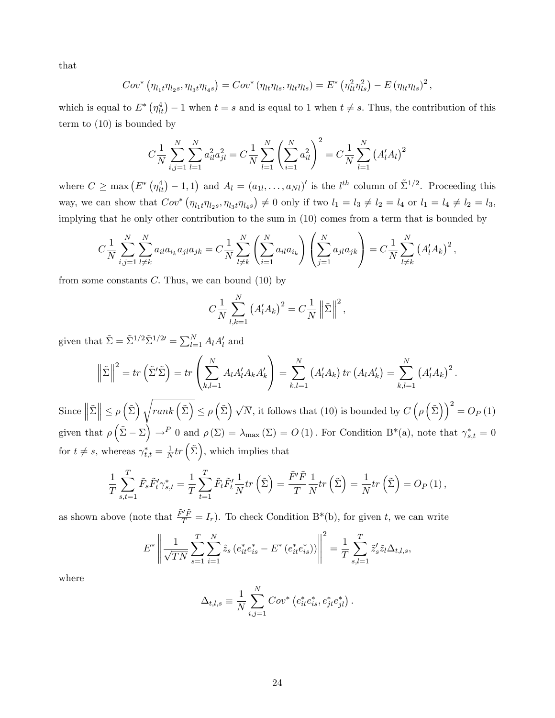that

$$
Cov^* (\eta_{l_1t} \eta_{l_2s}, \eta_{l_3t} \eta_{l_4s}) = Cov^* (\eta_{lt} \eta_{ls}, \eta_{lt} \eta_{ls}) = E^* (\eta_{lt}^2 \eta_{ls}^2) - E (\eta_{lt} \eta_{ls})^2,
$$

which is equal to  $E^* \left( \eta_{tt}^4 \right) - 1$  when  $t = s$  and is equal to 1 when  $t \neq s$ . Thus, the contribution of this term to (10) is bounded by

$$
C\frac{1}{N}\sum_{i,j=1}^{N}\sum_{l=1}^{N}a_{il}^{2}a_{jl}^{2} = C\frac{1}{N}\sum_{l=1}^{N}\left(\sum_{i=1}^{N}a_{il}^{2}\right)^{2} = C\frac{1}{N}\sum_{l=1}^{N}\left(A_{l}^{\prime}A_{l}\right)^{2}
$$

where  $C \ge \max (E^* (\eta_{lt}^4) - 1, 1)$  and  $A_l = (a_{1l}, \ldots, a_{Nl})'$  is the  $l^{th}$  column of  $\tilde{\Sigma}^{1/2}$ . Proceeding this way, we can show that  $Cov^* (\eta_{l_1t}\eta_{l_2s}, \eta_{l_3t}\eta_{l_4s}) \neq 0$  only if two  $l_1 = l_3 \neq l_2 = l_4$  or  $l_1 = l_4 \neq l_2 = l_3$ , implying that he only other contribution to the sum in (10) comes from a term that is bounded by

$$
C\frac{1}{N}\sum_{i,j=1}^{N}\sum_{l\neq k}^{N}a_{il}a_{i_k}a_{jl}a_{jk} = C\frac{1}{N}\sum_{l\neq k}^{N}\left(\sum_{i=1}^{N}a_{il}a_{i_k}\right)\left(\sum_{j=1}^{N}a_{jl}a_{jk}\right) = C\frac{1}{N}\sum_{l\neq k}^{N}\left(A_{l}^{\prime}A_{k}\right)^{2},
$$

from some constants  $C$ . Thus, we can bound  $(10)$  by

$$
C\frac{1}{N}\sum_{l,k=1}^N (A'_l A_k)^2 = C\frac{1}{N}\left\|\tilde{\Sigma}\right\|^2,
$$

given that  $\tilde{\Sigma} = \tilde{\Sigma}^{1/2} \tilde{\Sigma}^{1/2'} = \sum_{l=1}^{N} A_l A'_l$  and

$$
\left\|\tilde{\Sigma}\right\|^2 = tr\left(\tilde{\Sigma}'\tilde{\Sigma}\right) = tr\left(\sum_{k,l=1}^N A_l A_l' A_k A_k'\right) = \sum_{k,l=1}^N \left(A_l' A_k\right) tr\left(A_l A_k'\right) = \sum_{k,l=1}^N \left(A_l' A_k\right)^2.
$$

 $\text{Since } \left\| \tilde{\Sigma} \right\| \leq \rho\left(\tilde{\Sigma}\right) \sqrt{rank\left(\tilde{\Sigma}\right)} \leq \rho\left(\tilde{\Sigma}\right) \sqrt{N}, \text{ it follows that (10) is bounded by } C\left(\rho\left(\tilde{\Sigma}\right)\right)^2 = O_P\left(1\right)$ given that  $\rho\left(\tilde{\Sigma} - \Sigma\right) \to^P 0$  and  $\rho(\Sigma) = \lambda_{\max}(\Sigma) = O(1)$ . For Condition B<sup>\*</sup>(a), note that  $\gamma_{s,t}^* = 0$ for  $t \neq s$ , whereas  $\gamma_{t,t}^* = \frac{1}{N}$  $\frac{1}{N}$ tr  $(\tilde{\Sigma})$ , which implies that

$$
\frac{1}{T} \sum_{s,t=1}^T \tilde{F}_s \tilde{F}'_t \gamma^*_{s,t} = \frac{1}{T} \sum_{t=1}^T \tilde{F}_t \tilde{F}'_t \frac{1}{N} tr\left(\tilde{\Sigma}\right) = \frac{\tilde{F}' \tilde{F}}{T} \frac{1}{N} tr\left(\tilde{\Sigma}\right) = \frac{1}{N} tr\left(\tilde{\Sigma}\right) = O_P\left(1\right),
$$

as shown above (note that  $\frac{\tilde{F}'\tilde{F}}{T} = I_r$ ). To check Condition B<sup>\*</sup>(b), for given t, we can write

$$
E^* \left\| \frac{1}{\sqrt{TN}} \sum_{s=1}^T \sum_{i=1}^N \hat{z}_s \left( e_{it}^* e_{is}^* - E^* \left( e_{it}^* e_{is}^* \right) \right) \right\|^2 = \frac{1}{T} \sum_{s,l=1}^T \tilde{z}'_s \tilde{z}_l \Delta_{t,l,s},
$$

where

$$
\Delta_{t,l,s} \equiv \frac{1}{N} \sum_{i,j=1}^{N} Cov^* (e_{it}^* e_{is}^*, e_{jt}^* e_{jl}^*).
$$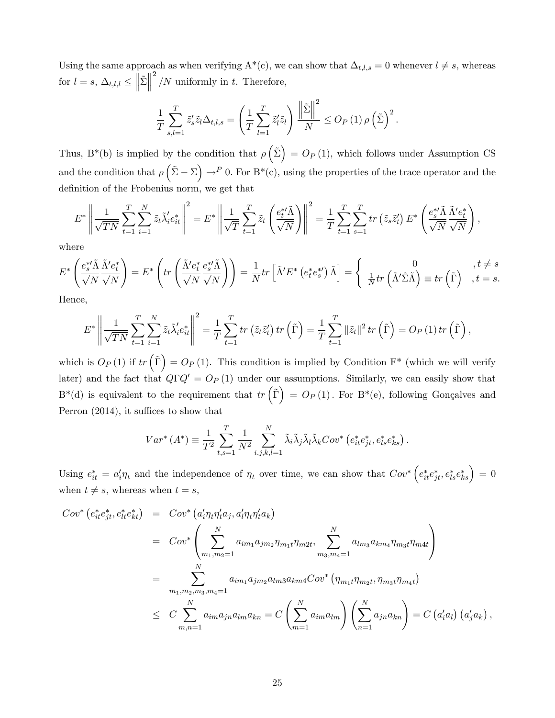Using the same approach as when verifying  $A^*(c)$ , we can show that  $\Delta_{t,l,s} = 0$  whenever  $l \neq s$ , whereas for  $l = s$ ,  $\Delta_{t,l,l} \leq \left\| \tilde{\Sigma} \right\|$  $^{2}/N$  uniformly in t. Therefore,

$$
\frac{1}{T} \sum_{s,l=1}^T \tilde{z}'_s \tilde{z}_l \Delta_{t,l,s} = \left( \frac{1}{T} \sum_{l=1}^T \tilde{z}'_l \tilde{z}_l \right) \frac{\left\| \tilde{\Sigma} \right\|^2}{N} \leq O_P\left(1\right) \rho \left( \tilde{\Sigma} \right)^2.
$$

Thus, B<sup>\*</sup>(b) is implied by the condition that  $\rho\left(\tilde{\Sigma}\right) = O_P(1)$ , which follows under Assumption CS and the condition that  $\rho\left(\tilde{\Sigma} - \Sigma\right) \to^P 0$ . For  $B^*(c)$ , using the properties of the trace operator and the definition of the Frobenius norm, we get that

$$
E^* \left\| \frac{1}{\sqrt{TN}} \sum_{t=1}^T \sum_{i=1}^N \tilde{z}_t \tilde{\lambda}'_i e_{it}^* \right\|^2 = E^* \left\| \frac{1}{\sqrt{T}} \sum_{t=1}^T \tilde{z}_t \left( \frac{e_t^{*t} \tilde{\Lambda}}{\sqrt{N}} \right) \right\|^2 = \frac{1}{T} \sum_{t=1}^T \sum_{s=1}^T tr \left( \tilde{z}_s \tilde{z}'_t \right) E^* \left( \frac{e_s^{*t} \tilde{\Lambda}}{\sqrt{N}} \frac{\tilde{\Lambda}' e_t^*}{\sqrt{N}} \right),
$$

where

$$
E^* \left( \frac{e_s^* \tilde{\Lambda}}{\sqrt{N}} \frac{\tilde{\Lambda}' e_t^*}{\sqrt{N}} \right) = E^* \left( tr \left( \frac{\tilde{\Lambda}' e_t^*}{\sqrt{N}} \frac{e_s^* \tilde{\Lambda}}{\sqrt{N}} \right) \right) = \frac{1}{N} tr \left[ \tilde{\Lambda}' E^* \left( e_t^* e_s^* \right) \tilde{\Lambda} \right] = \begin{cases} 0 & , t \neq s \\ \frac{1}{N} tr \left( \tilde{\Lambda}' \hat{\Sigma} \tilde{\Lambda} \right) \equiv tr \left( \tilde{\Gamma} \right) & , t = s. \end{cases}
$$
  
Hence

пенсе,

$$
E^* \left\| \frac{1}{\sqrt{TN}} \sum_{t=1}^T \sum_{i=1}^N \tilde{z}_t \tilde{\lambda}'_i e_{it}^* \right\|^2 = \frac{1}{T} \sum_{t=1}^T tr\left(\tilde{z}_t \tilde{z}'_t\right) tr\left(\tilde{\Gamma}\right) = \frac{1}{T} \sum_{t=1}^T \|\tilde{z}_t\|^2 tr\left(\tilde{\Gamma}\right) = O_P\left(1\right) tr\left(\tilde{\Gamma}\right),
$$

which is  $O_P(1)$  if  $tr(\tilde{\Gamma}) = O_P(1)$ . This condition is implied by Condition  $\Gamma^*$  (which we will verify later) and the fact that  $Q\Gamma Q' = O_P(1)$  under our assumptions. Similarly, we can easily show that  $B^*(d)$  is equivalent to the requirement that  $tr(\tilde{\Gamma}) = O_P(1)$ . For  $B^*(e)$ , following Gonçalves and Perron  $(2014)$ , it suffices to show that

$$
Var^*(A^*) \equiv \frac{1}{T^2} \sum_{t,s=1}^T \frac{1}{N^2} \sum_{i,j,k,l=1}^N \tilde{\lambda}_i \tilde{\lambda}_j \tilde{\lambda}_l \tilde{\lambda}_k Cov^* (e_{it}^* e_{jt}^*, e_{ls}^* e_{ks}^*).
$$

Using  $e_{it}^* = a_i' \eta_t$  and the independence of  $\eta_t$  over time, we can show that  $Cov^* \left(e_{it}^* e_{jt}^*, e_{ls}^* e_{ks}^*\right) = 0$ when  $t \neq s$ , whereas when  $t = s$ ,

$$
Cov^{*} (e_{it}^{*}e_{jt}^{*}, e_{lt}^{*}e_{kt}^{*}) = Cov^{*} (a_{i}'\eta_{t}\eta_{t}'a_{j}, a_{l}'\eta_{t}\eta_{t}'a_{k})
$$
  
\n
$$
= Cov^{*} \left( \sum_{m_{1}, m_{2}=1}^{N} a_{im_{1}}a_{jm_{2}}\eta_{m_{1}t}\eta_{m2t}, \sum_{m_{3}, m_{4}=1}^{N} a_{lm_{3}}a_{km_{4}}\eta_{m_{3}t}\eta_{m4t} \right)
$$
  
\n
$$
= \sum_{m_{1}, m_{2}, m_{3}, m_{4}=1}^{N} a_{im_{1}}a_{jm_{2}}a_{lm_{3}}a_{km_{4}}Cov^{*} (\eta_{m_{1}t}\eta_{m_{2}t}, \eta_{m_{3}t}\eta_{m4t})
$$
  
\n
$$
\leq C \sum_{m,n=1}^{N} a_{im}a_{jn}a_{lm}a_{kn} = C \left( \sum_{m=1}^{N} a_{im}a_{lm} \right) \left( \sum_{n=1}^{N} a_{jn}a_{kn} \right) = C (a_{i}'a_{l}) (a_{j}'a_{k}),
$$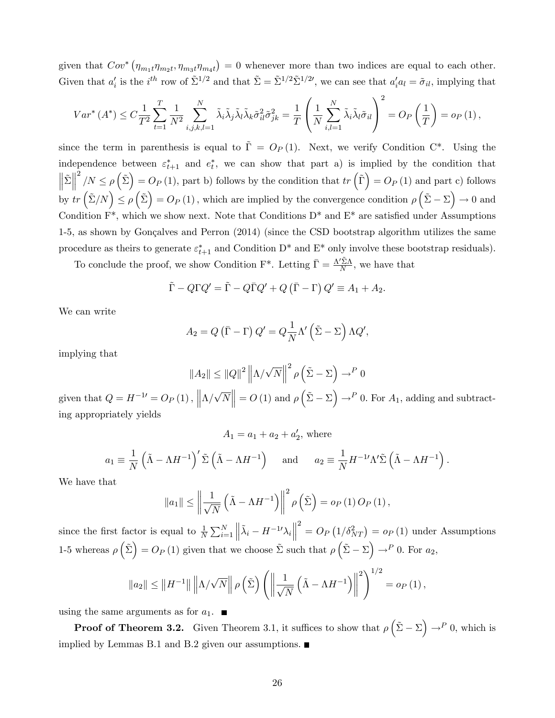given that  $Cov^*$   $(\eta_{m_1t}\eta_{m_2t}, \eta_{m_3t}\eta_{m_4t}) = 0$  whenever more than two indices are equal to each other. Given that  $a'_i$  is the  $i^{th}$  row of  $\tilde{\Sigma}^{1/2}$  and that  $\tilde{\Sigma} = \tilde{\Sigma}^{1/2} \tilde{\Sigma}^{1/2}$ , we can see that  $a'_i a_l = \tilde{\sigma}_{il}$ , implying that

$$
Var^*(A^*) \leq C \frac{1}{T^2} \sum_{t=1}^T \frac{1}{N^2} \sum_{i,j,k,l=1}^N \tilde{\lambda}_i \tilde{\lambda}_j \tilde{\lambda}_l \tilde{\lambda}_k \tilde{\sigma}_{il}^2 \tilde{\sigma}_{jk}^2 = \frac{1}{T} \left( \frac{1}{N} \sum_{i,l=1}^N \tilde{\lambda}_i \tilde{\lambda}_l \tilde{\sigma}_{il} \right)^2 = O_P\left(\frac{1}{T}\right) = o_P\left(1\right),
$$

since the term in parenthesis is equal to  $\tilde{\Gamma} = O_P(1)$ . Next, we verify Condition C<sup>\*</sup>. Using the independence between  $\varepsilon_{t+1}^*$  and  $e_t^*$ , we can show that part a) is implied by the condition that  $\left\Vert \tilde{\Sigma}\right\Vert$  $2^2/N \le \rho(\tilde{\Sigma}) = O_P(1)$ , part b) follows by the condition that  $tr(\tilde{\Gamma}) = O_P(1)$  and part c) follows by  $tr\left(\tilde{\Sigma}/N\right) \leq \rho\left(\tilde{\Sigma}\right) = O_P\left(1\right)$ , which are implied by the convergence condition  $\rho\left(\tilde{\Sigma} - \Sigma\right) \to 0$  and Condition  $F^*$ , which we show next. Note that Conditions  $D^*$  and  $E^*$  are satisfied under Assumptions 1-5, as shown by Gonçalves and Perron (2014) (since the CSD bootstrap algorithm utilizes the same procedure as theirs to generate  $\varepsilon_{t+1}^*$  and Condition D<sup>\*</sup> and E<sup>\*</sup> only involve these bootstrap residuals).

To conclude the proof, we show Condition F<sup>\*</sup>. Letting  $\bar{\Gamma} = \frac{\Lambda' \tilde{\Sigma} \Lambda}{N}$ , we have that

$$
\tilde{\Gamma} - Q\Gamma Q' = \tilde{\Gamma} - Q\bar{\Gamma}Q' + Q(\bar{\Gamma} - \Gamma)Q' \equiv A_1 + A_2.
$$

We can write

$$
A_2 = Q(\bar{\Gamma} - \Gamma) Q' = Q \frac{1}{N} \Lambda' (\tilde{\Sigma} - \Sigma) \Lambda Q',
$$

implying that

$$
||A_2|| \le ||Q||^2 ||\Lambda/\sqrt{N}||^2 \rho \left(\tilde{\Sigma} - \Sigma\right) \to^P 0
$$

given that  $Q = H^{-1} = O_P(1)$ ,  $\left\| \Lambda / \sqrt{N} \right\| = O(1)$  and  $\rho \left( \tilde{\Sigma} - \Sigma \right) \to^P 0$ . For  $A_1$ , adding and subtracting appropriately yields

$$
A_1 = a_1 + a_2 + a'_2
$$
, where

$$
a_1 \equiv \frac{1}{N} \left( \tilde{\Lambda} - \Lambda H^{-1} \right)' \tilde{\Sigma} \left( \tilde{\Lambda} - \Lambda H^{-1} \right) \quad \text{and} \quad a_2 \equiv \frac{1}{N} H^{-1} \Lambda' \tilde{\Sigma} \left( \tilde{\Lambda} - \Lambda H^{-1} \right).
$$

We have that

$$
||a_{1}|| \leq \left\|\frac{1}{\sqrt{N}}\left(\tilde{\Lambda} - \Lambda H^{-1}\right)\right\|^{2} \rho\left(\tilde{\Sigma}\right) = o_{P}\left(1\right) O_{P}\left(1\right),
$$

since the first factor is equal to  $\frac{1}{N} \sum_{i=1}^{N}$  $\left\Vert \tilde{\lambda}_{i}-H^{-1{\prime}}{\lambda}_{i}\right\Vert$  $\sigma^2 = O_P(1/\delta_{NT}^2) = o_P(1)$  under Assumptions 1-5 whereas  $\rho\left(\tilde{\Sigma}\right) = O_P(1)$  given that we choose  $\tilde{\Sigma}$  such that  $\rho\left(\tilde{\Sigma} - \Sigma\right) \to^P 0$ . For  $a_2$ ,

$$
\|a_2\| \le \|H^{-1}\| \left\|\Lambda/\sqrt{N}\right\| \rho\left(\tilde{\Sigma}\right) \left(\left\|\frac{1}{\sqrt{N}}\left(\tilde{\Lambda} - \Lambda H^{-1}\right)\right\|^2\right)^{1/2} = o_P\left(1\right),\,
$$

using the same arguments as for  $a_1$ .

**Proof of Theorem 3.2.** Given Theorem 3.1, it suffices to show that  $\rho\left(\tilde{\Sigma} - \Sigma\right) \to^P 0$ , which is implied by Lemmas B.1 and B.2 given our assumptions.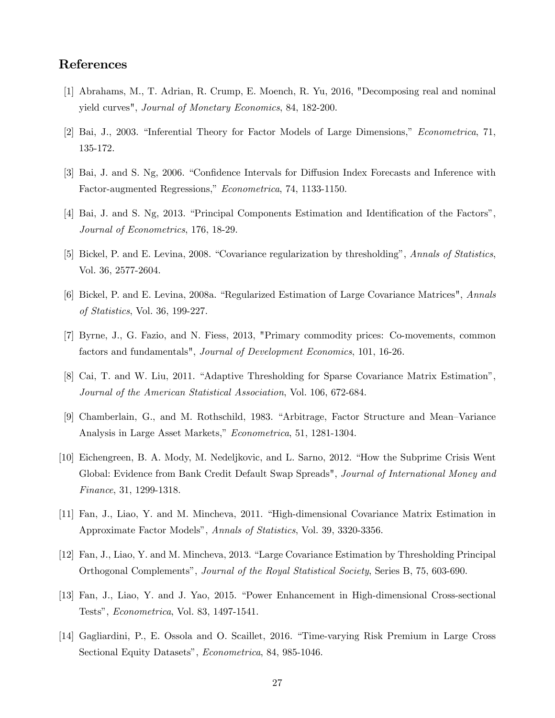### References

- [1] Abrahams, M., T. Adrian, R. Crump, E. Moench, R. Yu, 2016, "Decomposing real and nominal yield curves", Journal of Monetary Economics, 84, 182-200.
- [2] Bai, J., 2003. "Inferential Theory for Factor Models of Large Dimensions," *Econometrica*, 71, 135-172.
- [3] Bai, J. and S. Ng, 2006. "Confidence Intervals for Diffusion Index Forecasts and Inference with Factor-augmented Regressions," Econometrica, 74, 1133-1150.
- [4] Bai, J. and S. Ng, 2013. "Principal Components Estimation and Identification of the Factors", Journal of Econometrics, 176, 18-29.
- [5] Bickel, P. and E. Levina, 2008. "Covariance regularization by thresholding", Annals of Statistics, Vol. 36, 2577-2604.
- [6] Bickel, P. and E. Levina, 2008a. "Regularized Estimation of Large Covariance Matrices", Annals of Statistics, Vol. 36, 199-227.
- [7] Byrne, J., G. Fazio, and N. Fiess, 2013, "Primary commodity prices: Co-movements, common factors and fundamentals", Journal of Development Economics, 101, 16-26.
- [8] Cai, T. and W. Liu, 2011. "Adaptive Thresholding for Sparse Covariance Matrix Estimation", Journal of the American Statistical Association, Vol. 106, 672-684.
- [9] Chamberlain, G., and M. Rothschild, 1983. "Arbitrage, Factor Structure and Mean–Variance Analysis in Large Asset Markets," Econometrica, 51, 1281-1304.
- [10] Eichengreen, B. A. Mody, M. Nedeljkovic, and L. Sarno, 2012. "How the Subprime Crisis Went" Global: Evidence from Bank Credit Default Swap Spreads", Journal of International Money and Finance, 31, 1299-1318.
- [11] Fan, J., Liao, Y. and M. Mincheva, 2011. "High-dimensional Covariance Matrix Estimation in Approximate Factor Modelsî, Annals of Statistics, Vol. 39, 3320-3356.
- [12] Fan, J., Liao, Y. and M. Mincheva, 2013. "Large Covariance Estimation by Thresholding Principal Orthogonal Complementsî, Journal of the Royal Statistical Society, Series B, 75, 603-690.
- [13] Fan, J., Liao, Y. and J. Yao, 2015. "Power Enhancement in High-dimensional Cross-sectional Testsî, Econometrica, Vol. 83, 1497-1541.
- [14] Gagliardini, P., E. Ossola and O. Scaillet, 2016. "Time-varying Risk Premium in Large Cross Sectional Equity Datasets", *Econometrica*, 84, 985-1046.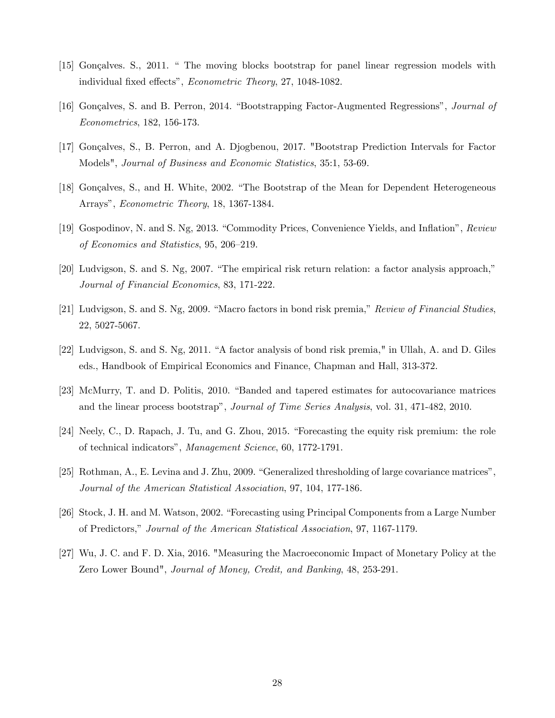- [15] Gonçalves. S., 2011. " The moving blocks bootstrap for panel linear regression models with individual fixed effects", Econometric Theory, 27, 1048-1082.
- [16] Gonçalves, S. and B. Perron, 2014. "Bootstrapping Factor-Augmented Regressions", Journal of Econometrics, 182, 156-173.
- [17] Gonçalves, S., B. Perron, and A. Djogbenou, 2017. "Bootstrap Prediction Intervals for Factor Models", Journal of Business and Economic Statistics, 35:1, 53-69.
- [18] Gonçalves, S., and H. White, 2002. "The Bootstrap of the Mean for Dependent Heterogeneous Arrays", Econometric Theory, 18, 1367-1384.
- [19] Gospodinov, N. and S. Ng, 2013. "Commodity Prices, Convenience Yields, and Inflation", Review of Economics and Statistics, 95, 206-219.
- $[20]$  Ludvigson, S. and S. Ng, 2007. "The empirical risk return relation: a factor analysis approach," Journal of Financial Economics, 83, 171-222.
- [21] Ludvigson, S. and S. Ng, 2009. "Macro factors in bond risk premia," Review of Financial Studies, 22, 5027-5067.
- [22] Ludvigson, S. and S. Ng, 2011. "A factor analysis of bond risk premia," in Ullah, A. and D. Giles eds., Handbook of Empirical Economics and Finance, Chapman and Hall, 313-372.
- [23] McMurry, T. and D. Politis, 2010. "Banded and tapered estimates for autocovariance matrices and the linear process bootstrap", *Journal of Time Series Analysis*, vol. 31, 471-482, 2010.
- $[24]$  Neely, C., D. Rapach, J. Tu, and G. Zhou, 2015. "Forecasting the equity risk premium: the role of technical indicatorsî, Management Science, 60, 1772-1791.
- [25] Rothman, A., E. Levina and J. Zhu, 2009. "Generalized thresholding of large covariance matrices", Journal of the American Statistical Association, 97, 104, 177-186.
- [26] Stock, J. H. and M. Watson, 2002. "Forecasting using Principal Components from a Large Number of Predictors," Journal of the American Statistical Association, 97, 1167-1179.
- [27] Wu, J. C. and F. D. Xia, 2016. "Measuring the Macroeconomic Impact of Monetary Policy at the Zero Lower Bound", Journal of Money, Credit, and Banking, 48, 253-291.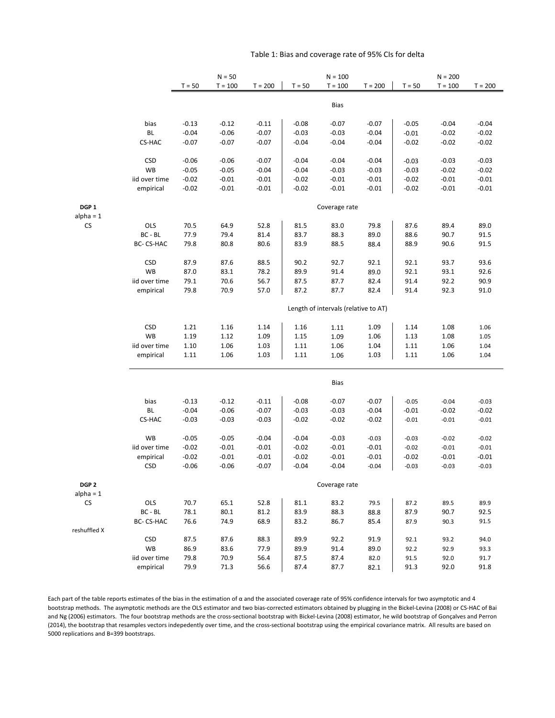|                                 |                |                                      | $N = 50$           |                    |                    | $N = 100$          |                    | $N = 200$          |                    |                    |  |  |  |  |
|---------------------------------|----------------|--------------------------------------|--------------------|--------------------|--------------------|--------------------|--------------------|--------------------|--------------------|--------------------|--|--|--|--|
|                                 |                | $T = 50$                             | $T = 100$          | $T = 200$          | $T = 50$           | $T = 100$          | $T = 200$          | $T = 50$           | $T = 100$          | $T = 200$          |  |  |  |  |
|                                 |                |                                      |                    |                    |                    | <b>Bias</b>        |                    |                    |                    |                    |  |  |  |  |
|                                 | bias           | $-0.13$                              | $-0.12$            | $-0.11$            | $-0.08$            | $-0.07$            | $-0.07$            | $-0.05$            | $-0.04$            | $-0.04$            |  |  |  |  |
|                                 | BL             | $-0.04$                              | $-0.06$            | $-0.07$            | $-0.03$            | $-0.03$            | $-0.04$            | $-0.01$            | $-0.02$            | $-0.02$            |  |  |  |  |
|                                 | CS-HAC         | $-0.07$                              | $-0.07$            | $-0.07$            | $-0.04$            | $-0.04$            | $-0.04$            | $-0.02$            | $-0.02$            | $-0.02$            |  |  |  |  |
|                                 |                |                                      |                    |                    |                    |                    |                    |                    |                    |                    |  |  |  |  |
|                                 | <b>CSD</b>     | $-0.06$                              | $-0.06$            | $-0.07$            | $-0.04$            | $-0.04$            | $-0.04$            | $-0.03$            | $-0.03$            | $-0.03$            |  |  |  |  |
|                                 | <b>WB</b>      | $-0.05$                              | $-0.05$            | $-0.04$            | $-0.04$            | $-0.03$            | $-0.03$            | $-0.03$            | $-0.02$            | $-0.02$            |  |  |  |  |
|                                 | iid over time  | $-0.02$                              | $-0.01$            | $-0.01$            | $-0.02$            | $-0.01$            | $-0.01$            | $-0.02$            | $-0.01$            | $-0.01$            |  |  |  |  |
|                                 | empirical      | $-0.02$                              | $-0.01$            | $-0.01$            | $-0.02$            | $-0.01$            | $-0.01$            | $-0.02$            | $-0.01$            | $-0.01$            |  |  |  |  |
| DGP <sub>1</sub><br>$alpha = 1$ |                |                                      |                    |                    |                    | Coverage rate      |                    |                    |                    |                    |  |  |  |  |
| <b>CS</b>                       | OLS            | 70.5                                 | 64.9               | 52.8               | 81.5               | 83.0               | 79.8               | 87.6               | 89.4               | 89.0               |  |  |  |  |
|                                 | BC - BL        | 77.9                                 | 79.4               | 81.4               | 83.7               | 88.3               | 89.0               | 88.6               | 90.7               | 91.5               |  |  |  |  |
|                                 | BC- CS-HAC     | 79.8                                 | 80.8               | 80.6               | 83.9               | 88.5               | 88.4               | 88.9               | 90.6               | 91.5               |  |  |  |  |
|                                 |                |                                      |                    |                    |                    |                    |                    |                    |                    |                    |  |  |  |  |
|                                 | <b>CSD</b>     | 87.9                                 | 87.6               | 88.5               | 90.2               | 92.7               | 92.1               | 92.1               | 93.7               | 93.6               |  |  |  |  |
|                                 | WB             | 87.0                                 | 83.1               | 78.2               | 89.9               | 91.4               | 89.0               | 92.1               | 93.1               | 92.6               |  |  |  |  |
|                                 | iid over time  | 79.1<br>79.8                         | 70.6               | 56.7               | 87.5               | 87.7               | 82.4               | 91.4<br>91.4       | 92.2               | 90.9               |  |  |  |  |
|                                 | empirical      |                                      | 70.9               | 57.0               | 87.2               | 87.7               | 82.4               |                    | 92.3               | 91.0               |  |  |  |  |
|                                 |                | Length of intervals (relative to AT) |                    |                    |                    |                    |                    |                    |                    |                    |  |  |  |  |
|                                 | <b>CSD</b>     | 1.21                                 | 1.16               | 1.14               | 1.16               | 1.11               | 1.09               | 1.14               | 1.08               | 1.06               |  |  |  |  |
|                                 | WB             | 1.19                                 | 1.12               | 1.09               | 1.15               | 1.09               | 1.06               | 1.13               | 1.08               | 1.05               |  |  |  |  |
|                                 | iid over time  | 1.10                                 | 1.06               | 1.03               | 1.11               | 1.06               | 1.04               | 1.11               | 1.06               | 1.04               |  |  |  |  |
|                                 | empirical      | 1.11                                 | 1.06               | 1.03               | 1.11               | 1.06               | 1.03               | 1.11               | 1.06               | 1.04               |  |  |  |  |
|                                 |                | <b>Bias</b>                          |                    |                    |                    |                    |                    |                    |                    |                    |  |  |  |  |
|                                 |                |                                      |                    |                    |                    |                    |                    |                    |                    |                    |  |  |  |  |
|                                 | bias<br>BL     | $-0.13$<br>$-0.04$                   | $-0.12$<br>$-0.06$ | $-0.11$<br>$-0.07$ | $-0.08$<br>$-0.03$ | $-0.07$<br>$-0.03$ | $-0.07$<br>$-0.04$ | $-0.05$<br>$-0.01$ | $-0.04$<br>$-0.02$ | $-0.03$<br>$-0.02$ |  |  |  |  |
|                                 | CS-HAC         | $-0.03$                              | $-0.03$            | $-0.03$            | $-0.02$            | $-0.02$            | $-0.02$            | $-0.01$            | $-0.01$            | $-0.01$            |  |  |  |  |
|                                 |                |                                      |                    |                    |                    |                    |                    |                    |                    |                    |  |  |  |  |
|                                 | WB             | $-0.05$                              | $-0.05$            | $-0.04$            | $-0.04$            | $-0.03$            | $-0.03$            | $-0.03$            | $-0.02$            | $-0.02$            |  |  |  |  |
|                                 | iid over time  | $-0.02$                              | $-0.01$            | $-0.01$            | $-0.02$            | $-0.01$            | $-0.01$            | $-0.02$            | $-0.01$            | $-0.01$            |  |  |  |  |
|                                 | empirical      | $-0.02$                              | $-0.01$            | $-0.01$            | $-0.02$            | $-0.01$            | $-0.01$            | $-0.02$            | $-0.01$            | $-0.01$            |  |  |  |  |
|                                 | <b>CSD</b>     | $-0.06$                              | $-0.06$            | $-0.07$            | $-0.04$            | $-0.04$            | $-0.04$            | $-0.03$            | $-0.03$            | $-0.03$            |  |  |  |  |
| DGP <sub>2</sub>                |                |                                      |                    |                    |                    | Coverage rate      |                    |                    |                    |                    |  |  |  |  |
| $alpha = 1$                     |                |                                      |                    |                    |                    |                    |                    |                    |                    |                    |  |  |  |  |
| CS                              | OLS<br>BC - BL | 70.7<br>78.1                         | 65.1<br>80.1       | 52.8<br>81.2       | 81.1<br>83.9       | 83.2<br>88.3       | 79.5<br>88.8       | 87.2<br>87.9       | 89.5<br>90.7       | 89.9<br>92.5       |  |  |  |  |
|                                 | BC-CS-HAC      | 76.6                                 | 74.9               | 68.9               | 83.2               | 86.7               | 85.4               | 87.9               | 90.3               | 91.5               |  |  |  |  |
| reshuffled X                    |                |                                      |                    |                    |                    |                    |                    |                    |                    |                    |  |  |  |  |
|                                 | <b>CSD</b>     | 87.5                                 | 87.6               | 88.3               | 89.9               | 92.2               | 91.9               | 92.1               | 93.2               | 94.0               |  |  |  |  |
|                                 | WB             | 86.9                                 | 83.6               | 77.9               | 89.9               | 91.4               | 89.0               | 92.2               | 92.9               | 93.3               |  |  |  |  |
|                                 | iid over time  | 79.8                                 | 70.9               | 56.4               | 87.5               | 87.4               | 82.0               | 91.5               | 92.0               | 91.7               |  |  |  |  |
|                                 | empirical      | 79.9                                 | 71.3               | 56.6               | 87.4               | 87.7               | 82.1               | 91.3               | 92.0               | 91.8               |  |  |  |  |

#### Table 1: Bias and coverage rate of 95% CIs for delta

Each part of the table reports estimates of the bias in the estimation of α and the associated coverage rate of 95% confidence intervals for two asymptotic and 4 bootstrap methods. The asymptotic methods are the OLS estimator and two bias-corrected estimators obtained by plugging in the Bickel-Levina (2008) or CS-HAC of Bai and Ng (2006) estimators. The four bootstrap methods are the cross-sectional bootstrap with Bickel-Levina (2008) estimator, he wild bootstrap of Gonçalves and Perron (2014), the bootstrap that resamples vectors indepedently over time, and the cross-sectional bootstrap using the empirical covariance matrix. All results are based on 5000 replications and B=399 bootstraps.